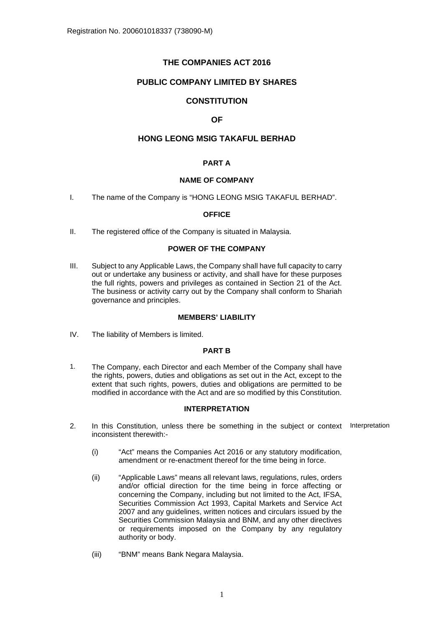# **THE COMPANIES ACT 2016**

# **PUBLIC COMPANY LIMITED BY SHARES**

# **CONSTITUTION**

# **OF**

# **HONG LEONG MSIG TAKAFUL BERHAD**

# **PART A**

# **NAME OF COMPANY**

I. The name of the Company is "HONG LEONG MSIG TAKAFUL BERHAD".

# **OFFICE**

II. The registered office of the Company is situated in Malaysia.

# **POWER OF THE COMPANY**

III. Subject to any Applicable Laws, the Company shall have full capacity to carry out or undertake any business or activity, and shall have for these purposes the full rights, powers and privileges as contained in Section 21 of the Act. The business or activity carry out by the Company shall conform to Shariah governance and principles.

# **MEMBERS' LIABILITY**

IV. The liability of Members is limited.

# **PART B**

1. The Company, each Director and each Member of the Company shall have the rights, powers, duties and obligations as set out in the Act, except to the extent that such rights, powers, duties and obligations are permitted to be modified in accordance with the Act and are so modified by this Constitution.

# **INTERPRETATION**

- 2. In this Constitution, unless there be something in the subject or context Interpretation inconsistent therewith:-
	- (i) "Act" means the Companies Act 2016 or any statutory modification, amendment or re-enactment thereof for the time being in force.
	- (ii) "Applicable Laws" means all relevant laws, regulations, rules, orders and/or official direction for the time being in force affecting or concerning the Company, including but not limited to the Act, IFSA, Securities Commission Act 1993, Capital Markets and Service Act 2007 and any guidelines, written notices and circulars issued by the Securities Commission Malaysia and BNM, and any other directives or requirements imposed on the Company by any regulatory authority or body.
	- (iii) "BNM" means Bank Negara Malaysia.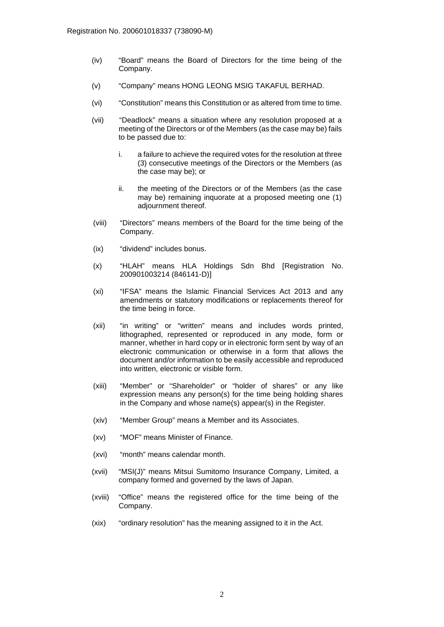- (iv) "Board" means the Board of Directors for the time being of the Company.
- (v) "Company" means HONG LEONG MSIG TAKAFUL BERHAD.
- (vi) "Constitution" means this Constitution or as altered from time to time.
- (vii) "Deadlock" means a situation where any resolution proposed at a meeting of the Directors or of the Members (as the case may be) fails to be passed due to:
	- i. a failure to achieve the required votes for the resolution at three (3) consecutive meetings of the Directors or the Members (as the case may be); or
	- ii. the meeting of the Directors or of the Members (as the case may be) remaining inquorate at a proposed meeting one (1) adjournment thereof.
- (viii) "Directors" means members of the Board for the time being of the Company.
- (ix) "dividend" includes bonus.
- (x) "HLAH" means HLA Holdings Sdn Bhd [Registration No. 200901003214 (846141-D)]
- (xi) "IFSA" means the Islamic Financial Services Act 2013 and any amendments or statutory modifications or replacements thereof for the time being in force.
- (xii) "in writing" or "written" means and includes words printed, lithographed, represented or reproduced in any mode, form or manner, whether in hard copy or in electronic form sent by way of an electronic communication or otherwise in a form that allows the document and/or information to be easily accessible and reproduced into written, electronic or visible form.
- (xiii) "Member" or "Shareholder" or "holder of shares" or any like expression means any person(s) for the time being holding shares in the Company and whose name(s) appear(s) in the Register.
- (xiv) "Member Group" means a Member and its Associates.
- (xv) "MOF" means Minister of Finance.
- (xvi) "month" means calendar month.
- (xvii) "MSI(J)" means Mitsui Sumitomo Insurance Company, Limited, a company formed and governed by the laws of Japan.
- (xviii) "Office" means the registered office for the time being of the Company.
- (xix) "ordinary resolution" has the meaning assigned to it in the Act.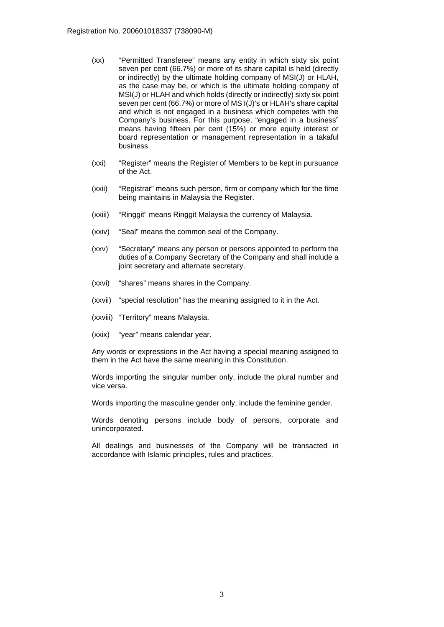- (xx) "Permitted Transferee" means any entity in which sixty six point seven per cent (66.7%) or more of its share capital is held (directly or indirectly) by the ultimate holding company of MSI(J) or HLAH, as the case may be, or which is the ultimate holding company of MSI(J) or HLAH and which holds (directly or indirectly) sixty six point seven per cent (66.7%) or more of MS I(J)'s or HLAH's share capital and which is not engaged in a business which competes with the Company's business. For this purpose, "engaged in a business" means having fifteen per cent (15%) or more equity interest or board representation or management representation in a takaful business.
- (xxi) "Register" means the Register of Members to be kept in pursuance of the Act.
- (xxii) "Registrar" means such person, firm or company which for the time being maintains in Malaysia the Register.
- (xxiii) "Ringgit" means Ringgit Malaysia the currency of Malaysia.
- (xxiv) "Seal" means the common seal of the Company.
- (xxv) "Secretary" means any person or persons appointed to perform the duties of a Company Secretary of the Company and shall include a joint secretary and alternate secretary.
- (xxvi) "shares" means shares in the Company.
- (xxvii) "special resolution" has the meaning assigned to it in the Act.
- (xxviii) "Territory" means Malaysia.
- (xxix) "year" means calendar year.

Any words or expressions in the Act having a special meaning assigned to them in the Act have the same meaning in this Constitution.

Words importing the singular number only, include the plural number and vice versa.

Words importing the masculine gender only, include the feminine gender.

Words denoting persons include body of persons, corporate and unincorporated.

All dealings and businesses of the Company will be transacted in accordance with Islamic principles, rules and practices.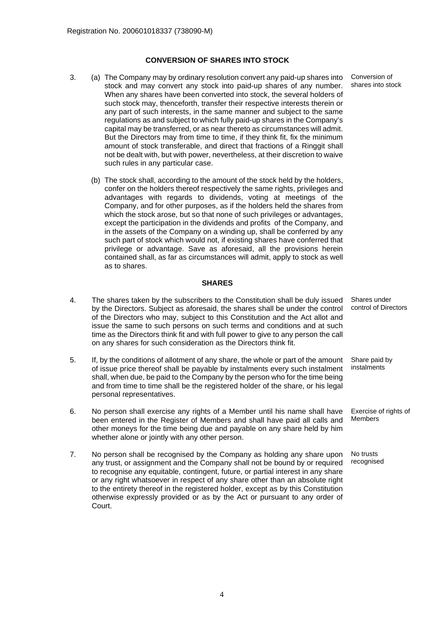#### **CONVERSION OF SHARES INTO STOCK**

- 3. (a) The Company may by ordinary resolution convert any paid-up shares into stock and may convert any stock into paid-up shares of any number. When any shares have been converted into stock, the several holders of such stock may, thenceforth, transfer their respective interests therein or any part of such interests, in the same manner and subject to the same regulations as and subject to which fully paid-up shares in the Company's capital may be transferred, or as near thereto as circumstances will admit. But the Directors may from time to time, if they think fit, fix the minimum amount of stock transferable, and direct that fractions of a Ringgit shall not be dealt with, but with power, nevertheless, at their discretion to waive such rules in any particular case.
	- (b) The stock shall, according to the amount of the stock held by the holders, confer on the holders thereof respectively the same rights, privileges and advantages with regards to dividends, voting at meetings of the Company, and for other purposes, as if the holders held the shares from which the stock arose, but so that none of such privileges or advantages, except the participation in the dividends and profits of the Company, and in the assets of the Company on a winding up, shall be conferred by any such part of stock which would not, if existing shares have conferred that privilege or advantage. Save as aforesaid, all the provisions herein contained shall, as far as circumstances will admit, apply to stock as well as to shares.

#### **SHARES**

- 4. The shares taken by the subscribers to the Constitution shall be duly issued by the Directors. Subject as aforesaid, the shares shall be under the control of the Directors who may, subject to this Constitution and the Act allot and issue the same to such persons on such terms and conditions and at such time as the Directors think fit and with full power to give to any person the call on any shares for such consideration as the Directors think fit. Shares under control of Directors
- 5. If, by the conditions of allotment of any share, the whole or part of the amount of issue price thereof shall be payable by instalments every such instalment shall, when due, be paid to the Company by the person who for the time being and from time to time shall be the registered holder of the share, or his legal personal representatives.
- 6. No person shall exercise any rights of a Member until his name shall have been entered in the Register of Members and shall have paid all calls and other moneys for the time being due and payable on any share held by him whether alone or jointly with any other person. Exercise of rights of Members
- 7. No person shall be recognised by the Company as holding any share upon any trust, or assignment and the Company shall not be bound by or required to recognise any equitable, contingent, future, or partial interest in any share or any right whatsoever in respect of any share other than an absolute right to the entirety thereof in the registered holder, except as by this Constitution otherwise expressly provided or as by the Act or pursuant to any order of Court.

Conversion of shares into stock

Share paid by instalments

No trusts recognised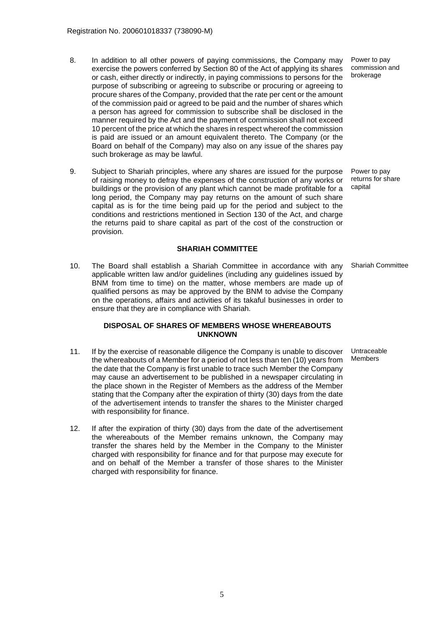- 8. In addition to all other powers of paying commissions, the Company may exercise the powers conferred by Section 80 of the Act of applying its shares or cash, either directly or indirectly, in paying commissions to persons for the purpose of subscribing or agreeing to subscribe or procuring or agreeing to procure shares of the Company, provided that the rate per cent or the amount of the commission paid or agreed to be paid and the number of shares which a person has agreed for commission to subscribe shall be disclosed in the manner required by the Act and the payment of commission shall not exceed 10 percent of the price at which the shares in respect whereof the commission is paid are issued or an amount equivalent thereto. The Company (or the Board on behalf of the Company) may also on any issue of the shares pay such brokerage as may be lawful.
- 9. Subject to Shariah principles, where any shares are issued for the purpose of raising money to defray the expenses of the construction of any works or buildings or the provision of any plant which cannot be made profitable for a long period, the Company may pay returns on the amount of such share capital as is for the time being paid up for the period and subject to the conditions and restrictions mentioned in Section 130 of the Act, and charge the returns paid to share capital as part of the cost of the construction or provision.

## **SHARIAH COMMITTEE**

10. The Board shall establish a Shariah Committee in accordance with any applicable written law and/or guidelines (including any guidelines issued by BNM from time to time) on the matter, whose members are made up of qualified persons as may be approved by the BNM to advise the Company on the operations, affairs and activities of its takaful businesses in order to ensure that they are in compliance with Shariah.

#### **DISPOSAL OF SHARES OF MEMBERS WHOSE WHEREABOUTS UNKNOWN**

- 11. If by the exercise of reasonable diligence the Company is unable to discover the whereabouts of a Member for a period of not less than ten (10) years from the date that the Company is first unable to trace such Member the Company may cause an advertisement to be published in a newspaper circulating in the place shown in the Register of Members as the address of the Member stating that the Company after the expiration of thirty (30) days from the date of the advertisement intends to transfer the shares to the Minister charged with responsibility for finance.
- 12. If after the expiration of thirty (30) days from the date of the advertisement the whereabouts of the Member remains unknown, the Company may transfer the shares held by the Member in the Company to the Minister charged with responsibility for finance and for that purpose may execute for and on behalf of the Member a transfer of those shares to the Minister charged with responsibility for finance.

Power to pay commission and brokerage

Power to pay returns for share capital

Shariah Committee

Untraceable Members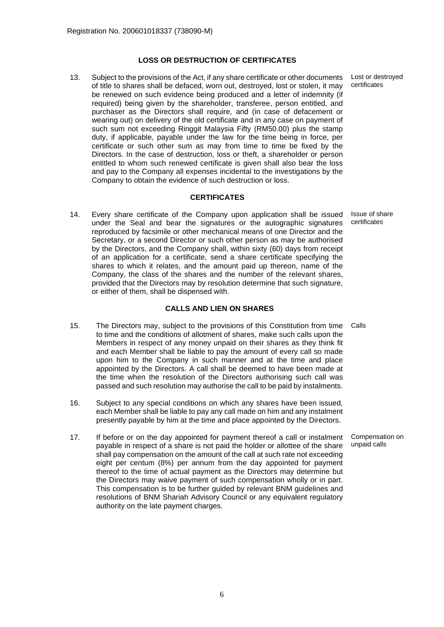#### **LOSS OR DESTRUCTION OF CERTIFICATES**

13. Subject to the provisions of the Act, if any share certificate or other documents of title to shares shall be defaced, worn out, destroyed, lost or stolen, it may be renewed on such evidence being produced and a letter of indemnity (if required) being given by the shareholder, transferee, person entitled, and purchaser as the Directors shall require, and (in case of defacement or wearing out) on delivery of the old certificate and in any case on payment of such sum not exceeding Ringgit Malaysia Fifty (RM50.00) plus the stamp duty, if applicable, payable under the law for the time being in force, per certificate or such other sum as may from time to time be fixed by the Directors. In the case of destruction, loss or theft, a shareholder or person entitled to whom such renewed certificate is given shall also bear the loss and pay to the Company all expenses incidental to the investigations by the Company to obtain the evidence of such destruction or loss.

#### **CERTIFICATES**

14. Every share certificate of the Company upon application shall be issued under the Seal and bear the signatures or the autographic signatures reproduced by facsimile or other mechanical means of one Director and the Secretary, or a second Director or such other person as may be authorised by the Directors, and the Company shall, within sixty (60) days from receipt of an application for a certificate, send a share certificate specifying the shares to which it relates, and the amount paid up thereon, name of the Company, the class of the shares and the number of the relevant shares, provided that the Directors may by resolution determine that such signature, or either of them, shall be dispensed with.

## **CALLS AND LIEN ON SHARES**

- 15. The Directors may, subject to the provisions of this Constitution from time Calls to time and the conditions of allotment of shares, make such calls upon the Members in respect of any money unpaid on their shares as they think fit and each Member shall be liable to pay the amount of every call so made upon him to the Company in such manner and at the time and place appointed by the Directors. A call shall be deemed to have been made at the time when the resolution of the Directors authorising such call was passed and such resolution may authorise the call to be paid by instalments.
- 16. Subject to any special conditions on which any shares have been issued, each Member shall be liable to pay any call made on him and any instalment presently payable by him at the time and place appointed by the Directors.
- 17. If before or on the day appointed for payment thereof a call or instalment payable in respect of a share is not paid the holder or allottee of the share shall pay compensation on the amount of the call at such rate not exceeding eight per centum (8%) per annum from the day appointed for payment thereof to the time of actual payment as the Directors may determine but the Directors may waive payment of such compensation wholly or in part. This compensation is to be further guided by relevant BNM guidelines and resolutions of BNM Shariah Advisory Council or any equivalent regulatory authority on the late payment charges.

Lost or destroyed certificates

Issue of share certificates

Compensation on

unpaid calls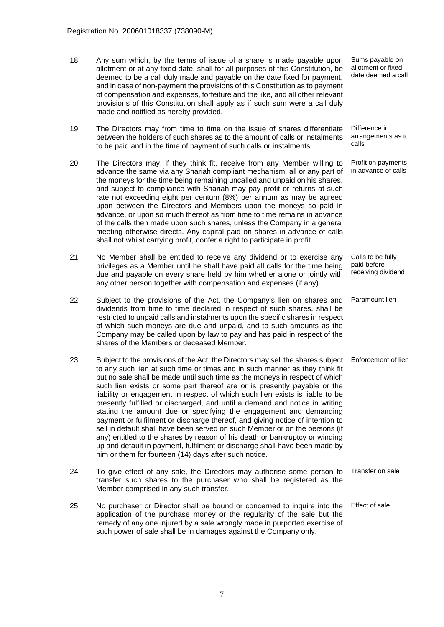18. Any sum which, by the terms of issue of a share is made payable upon allotment or at any fixed date, shall for all purposes of this Constitution, be deemed to be a call duly made and payable on the date fixed for payment, and in case of non-payment the provisions of this Constitution as to payment of compensation and expenses, forfeiture and the like, and all other relevant provisions of this Constitution shall apply as if such sum were a call duly made and notified as hereby provided. Sums payable on allotment or fixed date deemed a call 19. The Directors may from time to time on the issue of shares differentiate between the holders of such shares as to the amount of calls or instalments to be paid and in the time of payment of such calls or instalments. Difference in arrangements as to calls 20. The Directors may, if they think fit, receive from any Member willing to advance the same via any Shariah compliant mechanism, all or any part of the moneys for the time being remaining uncalled and unpaid on his shares, and subject to compliance with Shariah may pay profit or returns at such rate not exceeding eight per centum (8%) per annum as may be agreed upon between the Directors and Members upon the moneys so paid in advance, or upon so much thereof as from time to time remains in advance of the calls then made upon such shares, unless the Company in a general meeting otherwise directs. Any capital paid on shares in advance of calls shall not whilst carrying profit, confer a right to participate in profit. Profit on payments in advance of calls 21. No Member shall be entitled to receive any dividend or to exercise any privileges as a Member until he shall have paid all calls for the time being due and payable on every share held by him whether alone or jointly with any other person together with compensation and expenses (if any). Calls to be fully paid before receiving dividend 22. Subject to the provisions of the Act, the Company's lien on shares and dividends from time to time declared in respect of such shares, shall be restricted to unpaid calls and instalments upon the specific shares in respect of which such moneys are due and unpaid, and to such amounts as the Company may be called upon by law to pay and has paid in respect of the shares of the Members or deceased Member. Paramount lien 23. Subject to the provisions of the Act, the Directors may sell the shares subject to any such lien at such time or times and in such manner as they think fit but no sale shall be made until such time as the moneys in respect of which such lien exists or some part thereof are or is presently payable or the liability or engagement in respect of which such lien exists is liable to be presently fulfilled or discharged, and until a demand and notice in writing stating the amount due or specifying the engagement and demanding payment or fulfilment or discharge thereof, and giving notice of intention to sell in default shall have been served on such Member or on the persons (if any) entitled to the shares by reason of his death or bankruptcy or winding up and default in payment, fulfilment or discharge shall have been made by him or them for fourteen (14) days after such notice. Enforcement of lien 24. To give effect of any sale, the Directors may authorise some person to transfer such shares to the purchaser who shall be registered as the Member comprised in any such transfer. Transfer on sale 25. No purchaser or Director shall be bound or concerned to inquire into the application of the purchase money or the regularity of the sale but the Effect of sale

remedy of any one injured by a sale wrongly made in purported exercise of

such power of sale shall be in damages against the Company only.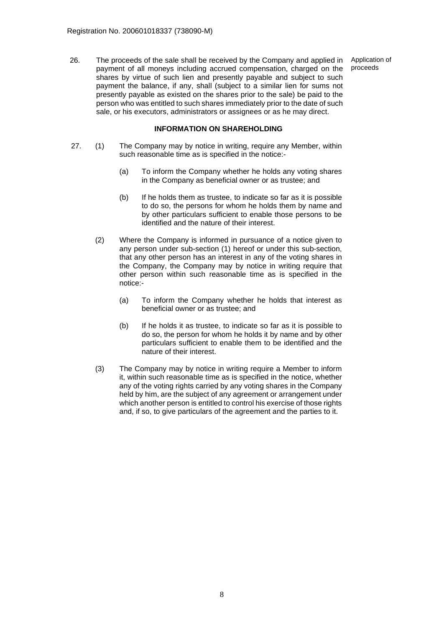26. The proceeds of the sale shall be received by the Company and applied in payment of all moneys including accrued compensation, charged on the shares by virtue of such lien and presently payable and subject to such payment the balance, if any, shall (subject to a similar lien for sums not presently payable as existed on the shares prior to the sale) be paid to the person who was entitled to such shares immediately prior to the date of such sale, or his executors, administrators or assignees or as he may direct.

Application of proceeds

#### **INFORMATION ON SHAREHOLDING**

- 27. (1) The Company may by notice in writing, require any Member, within such reasonable time as is specified in the notice:-
	- (a) To inform the Company whether he holds any voting shares in the Company as beneficial owner or as trustee; and
	- (b) If he holds them as trustee, to indicate so far as it is possible to do so, the persons for whom he holds them by name and by other particulars sufficient to enable those persons to be identified and the nature of their interest.
	- (2) Where the Company is informed in pursuance of a notice given to any person under sub-section (1) hereof or under this sub-section, that any other person has an interest in any of the voting shares in the Company, the Company may by notice in writing require that other person within such reasonable time as is specified in the notice:-
		- (a) To inform the Company whether he holds that interest as beneficial owner or as trustee; and
		- (b) If he holds it as trustee, to indicate so far as it is possible to do so, the person for whom he holds it by name and by other particulars sufficient to enable them to be identified and the nature of their interest.
	- (3) The Company may by notice in writing require a Member to inform it, within such reasonable time as is specified in the notice, whether any of the voting rights carried by any voting shares in the Company held by him, are the subject of any agreement or arrangement under which another person is entitled to control his exercise of those rights and, if so, to give particulars of the agreement and the parties to it.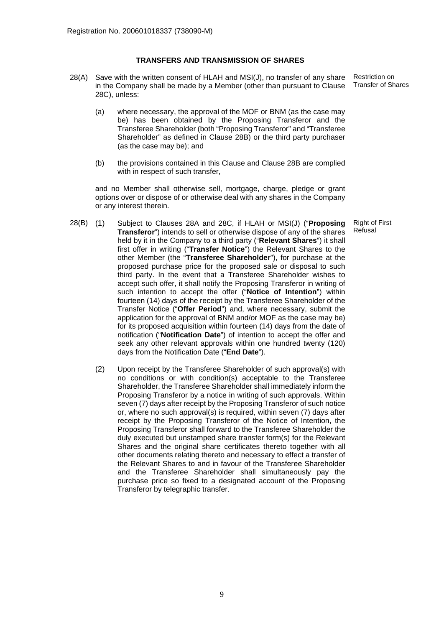#### **TRANSFERS AND TRANSMISSION OF SHARES**

- 28(A) Save with the written consent of HLAH and MSI(J), no transfer of any share in the Company shall be made by a Member (other than pursuant to Clause 28C), unless: Restriction on Transfer of Shares
	- (a) where necessary, the approval of the MOF or BNM (as the case may be) has been obtained by the Proposing Transferor and the Transferee Shareholder (both "Proposing Transferor" and "Transferee Shareholder" as defined in Clause 28B) or the third party purchaser (as the case may be); and
	- (b) the provisions contained in this Clause and Clause 28B are complied with in respect of such transfer,

and no Member shall otherwise sell, mortgage, charge, pledge or grant options over or dispose of or otherwise deal with any shares in the Company or any interest therein.

- 28(B) (1) Subject to Clauses 28A and 28C, if HLAH or MSI(J) ("**Proposing Transferor**") intends to sell or otherwise dispose of any of the shares held by it in the Company to a third party ("**Relevant Shares**") it shall first offer in writing ("**Transfer Notice**") the Relevant Shares to the other Member (the "**Transferee Shareholder**"), for purchase at the proposed purchase price for the proposed sale or disposal to such third party. In the event that a Transferee Shareholder wishes to accept such offer, it shall notify the Proposing Transferor in writing of such intention to accept the offer ("**Notice of Intention**") within fourteen (14) days of the receipt by the Transferee Shareholder of the Transfer Notice ("**Offer Period**") and, where necessary, submit the application for the approval of BNM and/or MOF as the case may be) for its proposed acquisition within fourteen (14) days from the date of notification ("**Notification Date**") of intention to accept the offer and seek any other relevant approvals within one hundred twenty (120) days from the Notification Date ("**End Date**").
	- (2) Upon receipt by the Transferee Shareholder of such approval(s) with no conditions or with condition(s) acceptable to the Transferee Shareholder, the Transferee Shareholder shall immediately inform the Proposing Transferor by a notice in writing of such approvals. Within seven (7) days after receipt by the Proposing Transferor of such notice or, where no such approval(s) is required, within seven (7) days after receipt by the Proposing Transferor of the Notice of Intention, the Proposing Transferor shall forward to the Transferee Shareholder the duly executed but unstamped share transfer form(s) for the Relevant Shares and the original share certificates thereto together with all other documents relating thereto and necessary to effect a transfer of the Relevant Shares to and in favour of the Transferee Shareholder and the Transferee Shareholder shall simultaneously pay the purchase price so fixed to a designated account of the Proposing Transferor by telegraphic transfer.

Right of First Refusal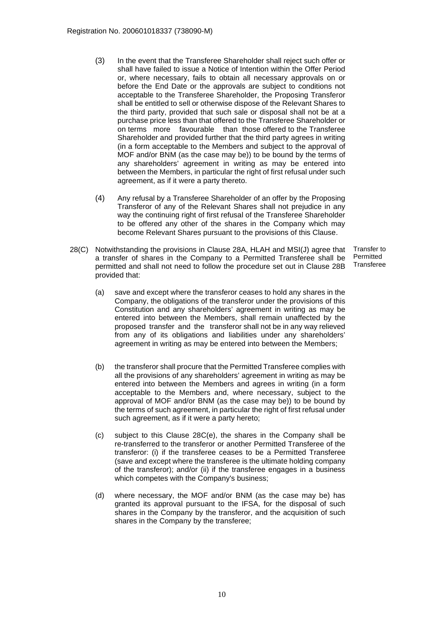- (3) In the event that the Transferee Shareholder shall reject such offer or shall have failed to issue a Notice of Intention within the Offer Period or, where necessary, fails to obtain all necessary approvals on or before the End Date or the approvals are subject to conditions not acceptable to the Transferee Shareholder, the Proposing Transferor shall be entitled to sell or otherwise dispose of the Relevant Shares to the third party, provided that such sale or disposal shall not be at a purchase price less than that offered to the Transferee Shareholder or on terms more favourable than those offered to the Transferee Shareholder and provided further that the third party agrees in writing (in a form acceptable to the Members and subject to the approval of MOF and/or BNM (as the case may be)) to be bound by the terms of any shareholders' agreement in writing as may be entered into between the Members, in particular the right of first refusal under such agreement, as if it were a party thereto.
- (4) Any refusal by a Transferee Shareholder of an offer by the Proposing Transferor of any of the Relevant Shares shall not prejudice in any way the continuing right of first refusal of the Transferee Shareholder to be offered any other of the shares in the Company which may become Relevant Shares pursuant to the provisions of this Clause.
- 28(C) Notwithstanding the provisions in Clause 28A, HLAH and MSI(J) agree that a transfer of shares in the Company to a Permitted Transferee shall be permitted and shall not need to follow the procedure set out in Clause 28B provided that:
	- (a) save and except where the transferor ceases to hold any shares in the Company, the obligations of the transferor under the provisions of this Constitution and any shareholders' agreement in writing as may be entered into between the Members, shall remain unaffected by the proposed transfer and the transferor shall not be in any way relieved from any of its obligations and liabilities under any shareholders' agreement in writing as may be entered into between the Members;
	- (b) the transferor shall procure that the Permitted Transferee complies with all the provisions of any shareholders' agreement in writing as may be entered into between the Members and agrees in writing (in a form acceptable to the Members and, where necessary, subject to the approval of MOF and/or BNM (as the case may be)) to be bound by the terms of such agreement, in particular the right of first refusal under such agreement, as if it were a party hereto;
	- (c) subject to this Clause 28C(e), the shares in the Company shall be re-transferred to the transferor or another Permitted Transferee of the transferor: (i) if the transferee ceases to be a Permitted Transferee (save and except where the transferee is the ultimate holding company of the transferor); and/or (ii) if the transferee engages in a business which competes with the Company's business;
	- (d) where necessary, the MOF and/or BNM (as the case may be) has granted its approval pursuant to the IFSA, for the disposal of such shares in the Company by the transferor, and the acquisition of such shares in the Company by the transferee;

Transfer to Permitted **Transferee**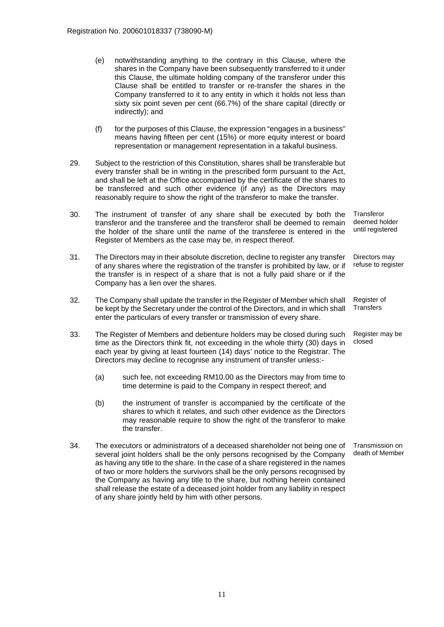- (e) notwithstanding anything to the contrary in this Clause, where the shares in the Company have been subsequently transferred to it under this Clause, the ultimate holding company of the transferor under this Clause shall be entitled to transfer or re-transfer the shares in the Company transferred to it to any entity in which it holds not less than sixty six point seven per cent (66.7%) of the share capital (directly or indirectly); and
- (f) for the purposes of this Clause, the expression "engages in a business" means having fifteen per cent (15%) or more equity interest or board representation or management representation in a takaful business.
- 29. Subject to the restriction of this Constitution, shares shall be transferable but every transfer shall be in writing in the prescribed form pursuant to the Act, and shall be left at the Office accompanied by the certificate of the shares to be transferred and such other evidence (if any) as the Directors may reasonably require to show the right of the transferor to make the transfer.
- 30. The instrument of transfer of any share shall be executed by both the transferor and the transferee and the transferor shall be deemed to remain the holder of the share until the name of the transferee is entered in the Register of Members as the case may be, in respect thereof. **Transferor** deemed holder until registered
- 31. The Directors may in their absolute discretion, decline to register any transfer of any shares where the registration of the transfer is prohibited by law, or if the transfer is in respect of a share that is not a fully paid share or if the Company has a lien over the shares. Directors may refuse to register
- 32. The Company shall update the transfer in the Register of Member which shall be kept by the Secretary under the control of the Directors, and in which shall enter the particulars of every transfer or transmission of every share. Register of **Transfers**
- 33. The Register of Members and debenture holders may be closed during such time as the Directors think fit, not exceeding in the whole thirty (30) days in each year by giving at least fourteen (14) days' notice to the Registrar. The Directors may decline to recognise any instrument of transfer unless:- Register may be closed
	- (a) such fee, not exceeding RM10.00 as the Directors may from time to time determine is paid to the Company in respect thereof; and
	- (b) the instrument of transfer is accompanied by the certificate of the shares to which it relates, and such other evidence as the Directors may reasonable require to show the right of the transferor to make the transfer.
- 34. The executors or administrators of a deceased shareholder not being one of several joint holders shall be the only persons recognised by the Company as having any title to the share. In the case of a share registered in the names of two or more holders the survivors shall be the only persons recognised by the Company as having any title to the share, but nothing herein contained shall release the estate of a deceased joint holder from any liability in respect of any share jointly held by him with other persons. Transmission on death of Member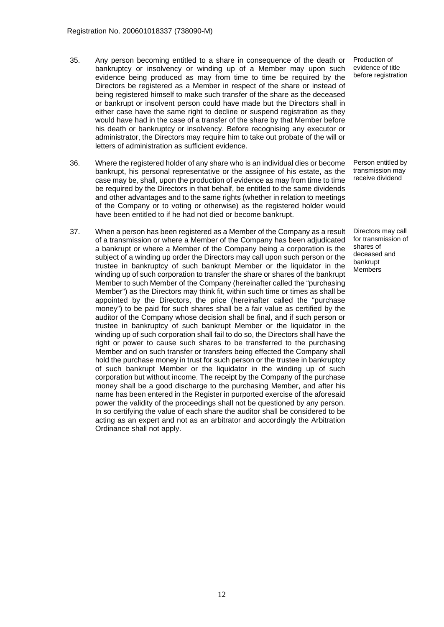- 35. Any person becoming entitled to a share in consequence of the death or bankruptcy or insolvency or winding up of a Member may upon such evidence being produced as may from time to time be required by the Directors be registered as a Member in respect of the share or instead of being registered himself to make such transfer of the share as the deceased or bankrupt or insolvent person could have made but the Directors shall in either case have the same right to decline or suspend registration as they would have had in the case of a transfer of the share by that Member before his death or bankruptcy or insolvency. Before recognising any executor or administrator, the Directors may require him to take out probate of the will or letters of administration as sufficient evidence.
- 36. Where the registered holder of any share who is an individual dies or become bankrupt, his personal representative or the assignee of his estate, as the case may be, shall, upon the production of evidence as may from time to time be required by the Directors in that behalf, be entitled to the same dividends and other advantages and to the same rights (whether in relation to meetings of the Company or to voting or otherwise) as the registered holder would have been entitled to if he had not died or become bankrupt.
- 37. When a person has been registered as a Member of the Company as a result of a transmission or where a Member of the Company has been adjudicated a bankrupt or where a Member of the Company being a corporation is the subject of a winding up order the Directors may call upon such person or the trustee in bankruptcy of such bankrupt Member or the liquidator in the winding up of such corporation to transfer the share or shares of the bankrupt Member to such Member of the Company (hereinafter called the "purchasing Member") as the Directors may think fit, within such time or times as shall be appointed by the Directors, the price (hereinafter called the "purchase money") to be paid for such shares shall be a fair value as certified by the auditor of the Company whose decision shall be final, and if such person or trustee in bankruptcy of such bankrupt Member or the liquidator in the winding up of such corporation shall fail to do so, the Directors shall have the right or power to cause such shares to be transferred to the purchasing Member and on such transfer or transfers being effected the Company shall hold the purchase money in trust for such person or the trustee in bankruptcy of such bankrupt Member or the liquidator in the winding up of such corporation but without income. The receipt by the Company of the purchase money shall be a good discharge to the purchasing Member, and after his name has been entered in the Register in purported exercise of the aforesaid power the validity of the proceedings shall not be questioned by any person. In so certifying the value of each share the auditor shall be considered to be acting as an expert and not as an arbitrator and accordingly the Arbitration Ordinance shall not apply.

Production of evidence of title before registration

Person entitled by transmission may receive dividend

Directors may call for transmission of shares of deceased and bankrupt Members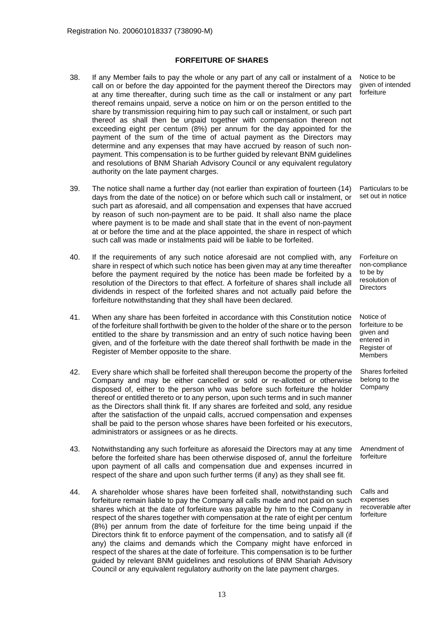#### **FORFEITURE OF SHARES**

- 38. If any Member fails to pay the whole or any part of any call or instalment of a call on or before the day appointed for the payment thereof the Directors may at any time thereafter, during such time as the call or instalment or any part thereof remains unpaid, serve a notice on him or on the person entitled to the share by transmission requiring him to pay such call or instalment, or such part thereof as shall then be unpaid together with compensation thereon not exceeding eight per centum (8%) per annum for the day appointed for the payment of the sum of the time of actual payment as the Directors may determine and any expenses that may have accrued by reason of such nonpayment. This compensation is to be further guided by relevant BNM guidelines and resolutions of BNM Shariah Advisory Council or any equivalent regulatory authority on the late payment charges.
- 39. The notice shall name a further day (not earlier than expiration of fourteen (14) days from the date of the notice) on or before which such call or instalment, or such part as aforesaid, and all compensation and expenses that have accrued by reason of such non-payment are to be paid. It shall also name the place where payment is to be made and shall state that in the event of non-payment at or before the time and at the place appointed, the share in respect of which such call was made or instalments paid will be liable to be forfeited.
- 40. If the requirements of any such notice aforesaid are not complied with, any share in respect of which such notice has been given may at any time thereafter before the payment required by the notice has been made be forfeited by a resolution of the Directors to that effect. A forfeiture of shares shall include all dividends in respect of the forfeited shares and not actually paid before the forfeiture notwithstanding that they shall have been declared.
- 41. When any share has been forfeited in accordance with this Constitution notice of the forfeiture shall forthwith be given to the holder of the share or to the person entitled to the share by transmission and an entry of such notice having been given, and of the forfeiture with the date thereof shall forthwith be made in the Register of Member opposite to the share.
- 42. Every share which shall be forfeited shall thereupon become the property of the Company and may be either cancelled or sold or re-allotted or otherwise disposed of, either to the person who was before such forfeiture the holder thereof or entitled thereto or to any person, upon such terms and in such manner as the Directors shall think fit. If any shares are forfeited and sold, any residue after the satisfaction of the unpaid calls, accrued compensation and expenses shall be paid to the person whose shares have been forfeited or his executors, administrators or assignees or as he directs.
- 43. Notwithstanding any such forfeiture as aforesaid the Directors may at any time before the forfeited share has been otherwise disposed of, annul the forfeiture upon payment of all calls and compensation due and expenses incurred in respect of the share and upon such further terms (if any) as they shall see fit.
- 44. A shareholder whose shares have been forfeited shall, notwithstanding such forfeiture remain liable to pay the Company all calls made and not paid on such shares which at the date of forfeiture was payable by him to the Company in respect of the shares together with compensation at the rate of eight per centum (8%) per annum from the date of forfeiture for the time being unpaid if the Directors think fit to enforce payment of the compensation, and to satisfy all (if any) the claims and demands which the Company might have enforced in respect of the shares at the date of forfeiture. This compensation is to be further guided by relevant BNM guidelines and resolutions of BNM Shariah Advisory Council or any equivalent regulatory authority on the late payment charges.

Notice to be given of intended forfeiture

Particulars to be set out in notice

Forfeiture on non-compliance to be by resolution of **Directors** 

Notice of forfeiture to be given and entered in Register of **Members** 

Shares forfeited belong to the **Company** 

Amendment of forfeiture

Calls and expenses recoverable after forfeiture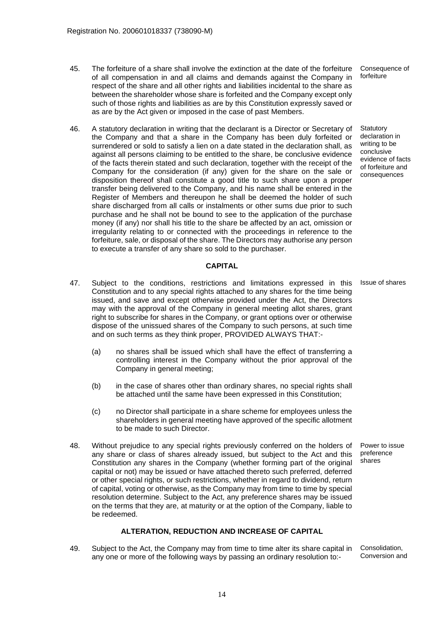- 45. The forfeiture of a share shall involve the extinction at the date of the forfeiture of all compensation in and all claims and demands against the Company in respect of the share and all other rights and liabilities incidental to the share as between the shareholder whose share is forfeited and the Company except only such of those rights and liabilities as are by this Constitution expressly saved or as are by the Act given or imposed in the case of past Members.
- 46. A statutory declaration in writing that the declarant is a Director or Secretary of the Company and that a share in the Company has been duly forfeited or surrendered or sold to satisfy a lien on a date stated in the declaration shall, as against all persons claiming to be entitled to the share, be conclusive evidence of the facts therein stated and such declaration, together with the receipt of the Company for the consideration (if any) given for the share on the sale or disposition thereof shall constitute a good title to such share upon a proper transfer being delivered to the Company, and his name shall be entered in the Register of Members and thereupon he shall be deemed the holder of such share discharged from all calls or instalments or other sums due prior to such purchase and he shall not be bound to see to the application of the purchase money (if any) nor shall his title to the share be affected by an act, omission or irregularity relating to or connected with the proceedings in reference to the forfeiture, sale, or disposal of the share. The Directors may authorise any person to execute a transfer of any share so sold to the purchaser.

**CAPITAL**

- 47. Subject to the conditions, restrictions and limitations expressed in this Constitution and to any special rights attached to any shares for the time being issued, and save and except otherwise provided under the Act, the Directors may with the approval of the Company in general meeting allot shares, grant right to subscribe for shares in the Company, or grant options over or otherwise dispose of the unissued shares of the Company to such persons, at such time and on such terms as they think proper, PROVIDED ALWAYS THAT:-
	- (a) no shares shall be issued which shall have the effect of transferring a controlling interest in the Company without the prior approval of the Company in general meeting;
	- (b) in the case of shares other than ordinary shares, no special rights shall be attached until the same have been expressed in this Constitution;
	- (c) no Director shall participate in a share scheme for employees unless the shareholders in general meeting have approved of the specific allotment to be made to such Director.
- 48. Without prejudice to any special rights previously conferred on the holders of any share or class of shares already issued, but subject to the Act and this Constitution any shares in the Company (whether forming part of the original capital or not) may be issued or have attached thereto such preferred, deferred or other special rights, or such restrictions, whether in regard to dividend, return of capital, voting or otherwise, as the Company may from time to time by special resolution determine. Subject to the Act, any preference shares may be issued on the terms that they are, at maturity or at the option of the Company, liable to be redeemed.

# **ALTERATION, REDUCTION AND INCREASE OF CAPITAL**

49. Subject to the Act, the Company may from time to time alter its share capital in any one or more of the following ways by passing an ordinary resolution to:- Consolidation, Conversion and

Consequence of forfeiture

**Statutorv** declaration in writing to be conclusive evidence of facts of forfeiture and consequences

Issue of shares

Power to issue preference shares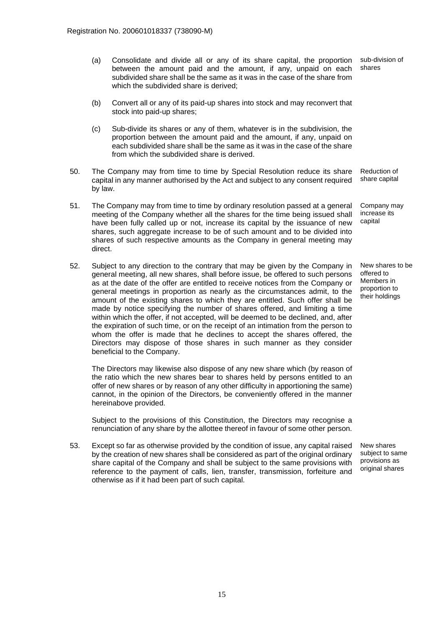- (a) Consolidate and divide all or any of its share capital, the proportion between the amount paid and the amount, if any, unpaid on each subdivided share shall be the same as it was in the case of the share from which the subdivided share is derived; sub-division of shares
- (b) Convert all or any of its paid-up shares into stock and may reconvert that stock into paid-up shares;
- (c) Sub-divide its shares or any of them, whatever is in the subdivision, the proportion between the amount paid and the amount, if any, unpaid on each subdivided share shall be the same as it was in the case of the share from which the subdivided share is derived.
- 50. The Company may from time to time by Special Resolution reduce its share capital in any manner authorised by the Act and subject to any consent required by law. Reduction of share capital
- 51. The Company may from time to time by ordinary resolution passed at a general meeting of the Company whether all the shares for the time being issued shall have been fully called up or not, increase its capital by the issuance of new shares, such aggregate increase to be of such amount and to be divided into shares of such respective amounts as the Company in general meeting may direct. Company may increase its capital
- 52. Subject to any direction to the contrary that may be given by the Company in general meeting, all new shares, shall before issue, be offered to such persons as at the date of the offer are entitled to receive notices from the Company or general meetings in proportion as nearly as the circumstances admit, to the amount of the existing shares to which they are entitled. Such offer shall be made by notice specifying the number of shares offered, and limiting a time within which the offer, if not accepted, will be deemed to be declined, and, after the expiration of such time, or on the receipt of an intimation from the person to whom the offer is made that he declines to accept the shares offered, the Directors may dispose of those shares in such manner as they consider beneficial to the Company. New shares to be offered to Members in proportion to their holdings

The Directors may likewise also dispose of any new share which (by reason of the ratio which the new shares bear to shares held by persons entitled to an offer of new shares or by reason of any other difficulty in apportioning the same) cannot, in the opinion of the Directors, be conveniently offered in the manner hereinabove provided.

Subject to the provisions of this Constitution, the Directors may recognise a renunciation of any share by the allottee thereof in favour of some other person.

53. Except so far as otherwise provided by the condition of issue, any capital raised by the creation of new shares shall be considered as part of the original ordinary share capital of the Company and shall be subject to the same provisions with reference to the payment of calls, lien, transfer, transmission, forfeiture and otherwise as if it had been part of such capital.

New shares subject to same provisions as original shares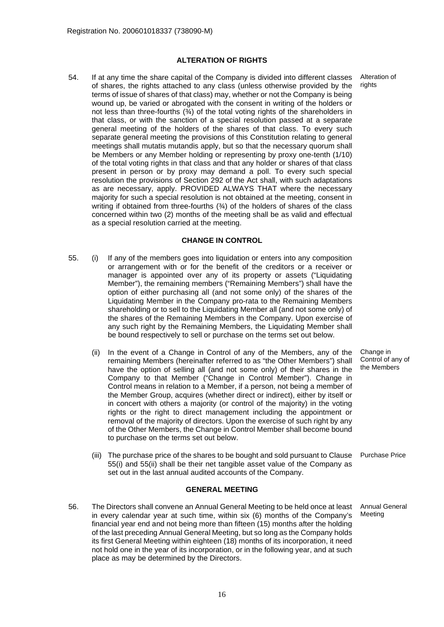#### **ALTERATION OF RIGHTS**

54. If at any time the share capital of the Company is divided into different classes of shares, the rights attached to any class (unless otherwise provided by the terms of issue of shares of that class) may, whether or not the Company is being wound up, be varied or abrogated with the consent in writing of the holders or not less than three-fourths  $(3/4)$  of the total voting rights of the shareholders in that class, or with the sanction of a special resolution passed at a separate general meeting of the holders of the shares of that class. To every such separate general meeting the provisions of this Constitution relating to general meetings shall mutatis mutandis apply, but so that the necessary quorum shall be Members or any Member holding or representing by proxy one-tenth (1/10) of the total voting rights in that class and that any holder or shares of that class present in person or by proxy may demand a poll. To every such special resolution the provisions of Section 292 of the Act shall, with such adaptations as are necessary, apply. PROVIDED ALWAYS THAT where the necessary majority for such a special resolution is not obtained at the meeting, consent in writing if obtained from three-fourths (34) of the holders of shares of the class concerned within two (2) months of the meeting shall be as valid and effectual as a special resolution carried at the meeting.

## **CHANGE IN CONTROL**

- 55. (i) If any of the members goes into liquidation or enters into any composition or arrangement with or for the benefit of the creditors or a receiver or manager is appointed over any of its property or assets ("Liquidating Member"), the remaining members ("Remaining Members") shall have the option of either purchasing all (and not some only) of the shares of the Liquidating Member in the Company pro-rata to the Remaining Members shareholding or to sell to the Liquidating Member all (and not some only) of the shares of the Remaining Members in the Company. Upon exercise of any such right by the Remaining Members, the Liquidating Member shall be bound respectively to sell or purchase on the terms set out below.
	- (ii) In the event of a Change in Control of any of the Members, any of the remaining Members (hereinafter referred to as "the Other Members") shall have the option of selling all (and not some only) of their shares in the Company to that Member ("Change in Control Member"). Change in Control means in relation to a Member, if a person, not being a member of the Member Group, acquires (whether direct or indirect), either by itself or in concert with others a majority (or control of the majority) in the voting rights or the right to direct management including the appointment or removal of the majority of directors. Upon the exercise of such right by any of the Other Members, the Change in Control Member shall become bound to purchase on the terms set out below.
	- (iii) The purchase price of the shares to be bought and sold pursuant to Clause 55(i) and 55(ii) shall be their net tangible asset value of the Company as set out in the last annual audited accounts of the Company. Purchase Price

#### **GENERAL MEETING**

56. The Directors shall convene an Annual General Meeting to be held once at least in every calendar year at such time, within six (6) months of the Company's financial year end and not being more than fifteen (15) months after the holding of the last preceding Annual General Meeting, but so long as the Company holds its first General Meeting within eighteen (18) months of its incorporation, it need not hold one in the year of its incorporation, or in the following year, and at such place as may be determined by the Directors.

Alteration of rights

Change in Control of any of the Members

Annual General Meeting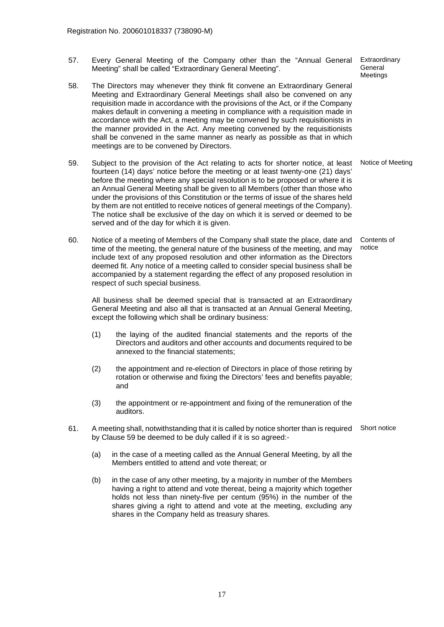- 57. Every General Meeting of the Company other than the "Annual General Meeting" shall be called "Extraordinary General Meeting". Extraordinary General Meetings
- 58. The Directors may whenever they think fit convene an Extraordinary General Meeting and Extraordinary General Meetings shall also be convened on any requisition made in accordance with the provisions of the Act, or if the Company makes default in convening a meeting in compliance with a requisition made in accordance with the Act, a meeting may be convened by such requisitionists in the manner provided in the Act. Any meeting convened by the requisitionists shall be convened in the same manner as nearly as possible as that in which meetings are to be convened by Directors.
- 59. Subject to the provision of the Act relating to acts for shorter notice, at least fourteen (14) days' notice before the meeting or at least twenty-one (21) days' before the meeting where any special resolution is to be proposed or where it is an Annual General Meeting shall be given to all Members (other than those who under the provisions of this Constitution or the terms of issue of the shares held by them are not entitled to receive notices of general meetings of the Company). The notice shall be exclusive of the day on which it is served or deemed to be served and of the day for which it is given. Notice of Meeting
- 60. Notice of a meeting of Members of the Company shall state the place, date and time of the meeting, the general nature of the business of the meeting, and may include text of any proposed resolution and other information as the Directors deemed fit. Any notice of a meeting called to consider special business shall be accompanied by a statement regarding the effect of any proposed resolution in respect of such special business. Contents of notice

All business shall be deemed special that is transacted at an Extraordinary General Meeting and also all that is transacted at an Annual General Meeting, except the following which shall be ordinary business:

- (1) the laying of the audited financial statements and the reports of the Directors and auditors and other accounts and documents required to be annexed to the financial statements;
- (2) the appointment and re-election of Directors in place of those retiring by rotation or otherwise and fixing the Directors' fees and benefits payable; and
- (3) the appointment or re-appointment and fixing of the remuneration of the auditors.
- 61. A meeting shall, notwithstanding that it is called by notice shorter than is required by Clause 59 be deemed to be duly called if it is so agreed:- Short notice
	- (a) in the case of a meeting called as the Annual General Meeting, by all the Members entitled to attend and vote thereat; or
	- (b) in the case of any other meeting, by a majority in number of the Members having a right to attend and vote thereat, being a majority which together holds not less than ninety-five per centum (95%) in the number of the shares giving a right to attend and vote at the meeting, excluding any shares in the Company held as treasury shares.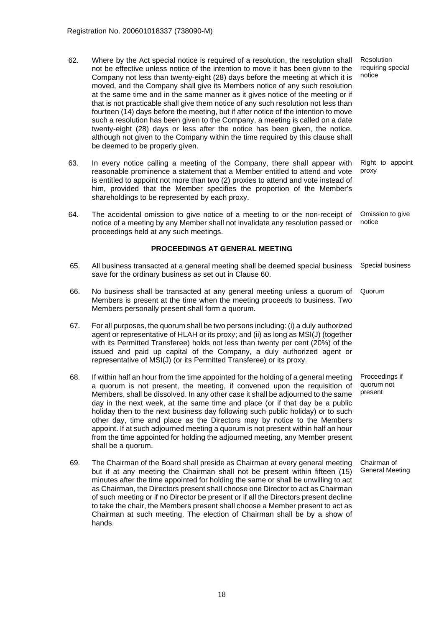- 62. Where by the Act special notice is required of a resolution, the resolution shall not be effective unless notice of the intention to move it has been given to the Company not less than twenty-eight (28) days before the meeting at which it is moved, and the Company shall give its Members notice of any such resolution at the same time and in the same manner as it gives notice of the meeting or if that is not practicable shall give them notice of any such resolution not less than fourteen (14) days before the meeting, but if after notice of the intention to move such a resolution has been given to the Company, a meeting is called on a date twenty-eight (28) days or less after the notice has been given, the notice, although not given to the Company within the time required by this clause shall be deemed to be properly given. Resolution requiring special notice
- 63. In every notice calling a meeting of the Company, there shall appear with reasonable prominence a statement that a Member entitled to attend and vote is entitled to appoint not more than two (2) proxies to attend and vote instead of him, provided that the Member specifies the proportion of the Member's shareholdings to be represented by each proxy. Right to appoint proxy
- 64. The accidental omission to give notice of a meeting to or the non-receipt of notice of a meeting by any Member shall not invalidate any resolution passed or proceedings held at any such meetings. Omission to give notice

# **PROCEEDINGS AT GENERAL MEETING**

- 65. All business transacted at a general meeting shall be deemed special business save for the ordinary business as set out in Clause 60. Special business
- 66. No business shall be transacted at any general meeting unless a quorum of Members is present at the time when the meeting proceeds to business. Two Members personally present shall form a quorum. Quorum
- 67. For all purposes, the quorum shall be two persons including: (i) a duly authorized agent or representative of HLAH or its proxy; and (ii) as long as MSI(J) (together with its Permitted Transferee) holds not less than twenty per cent (20%) of the issued and paid up capital of the Company, a duly authorized agent or representative of MSI(J) (or its Permitted Transferee) or its proxy.
- 68. If within half an hour from the time appointed for the holding of a general meeting a quorum is not present, the meeting, if convened upon the requisition of Members, shall be dissolved. In any other case it shall be adjourned to the same day in the next week, at the same time and place (or if that day be a public holiday then to the next business day following such public holiday) or to such other day, time and place as the Directors may by notice to the Members appoint. If at such adjourned meeting a quorum is not present within half an hour from the time appointed for holding the adjourned meeting, any Member present shall be a quorum. Proceedings if quorum not present
- 69. The Chairman of the Board shall preside as Chairman at every general meeting but if at any meeting the Chairman shall not be present within fifteen (15) minutes after the time appointed for holding the same or shall be unwilling to act as Chairman, the Directors present shall choose one Director to act as Chairman of such meeting or if no Director be present or if all the Directors present decline to take the chair, the Members present shall choose a Member present to act as Chairman at such meeting. The election of Chairman shall be by a show of hands. Chairman of General Meeting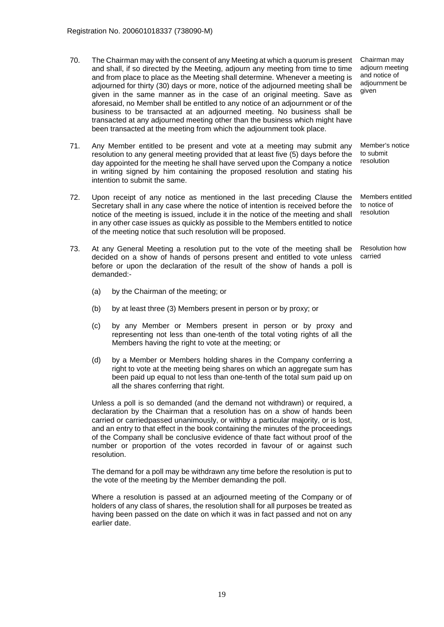- 70. The Chairman may with the consent of any Meeting at which a quorum is present and shall, if so directed by the Meeting, adjourn any meeting from time to time and from place to place as the Meeting shall determine. Whenever a meeting is adjourned for thirty (30) days or more, notice of the adjourned meeting shall be given in the same manner as in the case of an original meeting. Save as aforesaid, no Member shall be entitled to any notice of an adjournment or of the business to be transacted at an adjourned meeting. No business shall be transacted at any adjourned meeting other than the business which might have been transacted at the meeting from which the adjournment took place.
- 71. Any Member entitled to be present and vote at a meeting may submit any resolution to any general meeting provided that at least five (5) days before the day appointed for the meeting he shall have served upon the Company a notice in writing signed by him containing the proposed resolution and stating his intention to submit the same.
- 72. Upon receipt of any notice as mentioned in the last preceding Clause the Secretary shall in any case where the notice of intention is received before the notice of the meeting is issued, include it in the notice of the meeting and shall in any other case issues as quickly as possible to the Members entitled to notice of the meeting notice that such resolution will be proposed.
- 73. At any General Meeting a resolution put to the vote of the meeting shall be decided on a show of hands of persons present and entitled to vote unless before or upon the declaration of the result of the show of hands a poll is demanded:-
	- (a) by the Chairman of the meeting; or
	- (b) by at least three (3) Members present in person or by proxy; or
	- (c) by any Member or Members present in person or by proxy and representing not less than one-tenth of the total voting rights of all the Members having the right to vote at the meeting; or
	- (d) by a Member or Members holding shares in the Company conferring a right to vote at the meeting being shares on which an aggregate sum has been paid up equal to not less than one-tenth of the total sum paid up on all the shares conferring that right.

Unless a poll is so demanded (and the demand not withdrawn) or required, a declaration by the Chairman that a resolution has on a show of hands been carried or carriedpassed unanimously, or withby a particular majority, or is lost, and an entry to that effect in the book containing the minutes of the proceedings of the Company shall be conclusive evidence of thate fact without proof of the number or proportion of the votes recorded in favour of or against such resolution.

The demand for a poll may be withdrawn any time before the resolution is put to the vote of the meeting by the Member demanding the poll.

Where a resolution is passed at an adjourned meeting of the Company or of holders of any class of shares, the resolution shall for all purposes be treated as having been passed on the date on which it was in fact passed and not on any earlier date.

Chairman may adjourn meeting and notice of adjournment be given

Member's notice to submit resolution

Members entitled to notice of resolution

Resolution how carried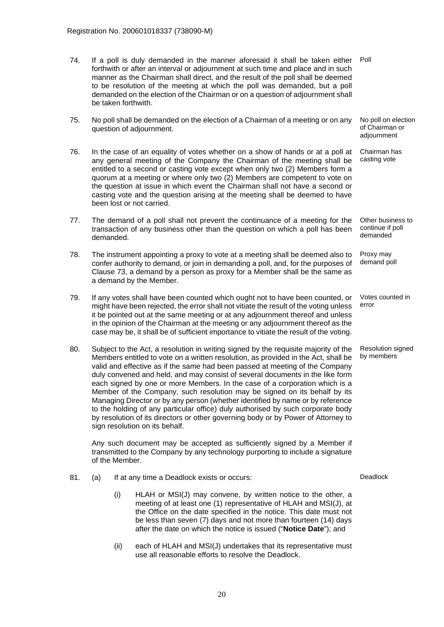- 74. If a poll is duly demanded in the manner aforesaid it shall be taken either forthwith or after an interval or adjournment at such time and place and in such manner as the Chairman shall direct, and the result of the poll shall be deemed to be resolution of the meeting at which the poll was demanded, but a poll demanded on the election of the Chairman or on a question of adjournment shall be taken forthwith. Poll
- 75. No poll shall be demanded on the election of a Chairman of a meeting or on any question of adjournment. No poll on election of Chairman or adjournment
- 76. In the case of an equality of votes whether on a show of hands or at a poll at any general meeting of the Company the Chairman of the meeting shall be entitled to a second or casting vote except when only two (2) Members form a quorum at a meeting or where only two (2) Members are competent to vote on the question at issue in which event the Chairman shall not have a second or casting vote and the question arising at the meeting shall be deemed to have been lost or not carried. Chairman has casting vote
- 77. The demand of a poll shall not prevent the continuance of a meeting for the transaction of any business other than the question on which a poll has been demanded. Other business to continue if poll demanded
- 78. The instrument appointing a proxy to vote at a meeting shall be deemed also to confer authority to demand, or join in demanding a poll, and, for the purposes of Clause 73, a demand by a person as proxy for a Member shall be the same as a demand by the Member. Proxy may demand poll
- 79. If any votes shall have been counted which ought not to have been counted, or might have been rejected, the error shall not vitiate the result of the voting unless it be pointed out at the same meeting or at any adjournment thereof and unless in the opinion of the Chairman at the meeting or any adjournment thereof as the case may be, it shall be of sufficient importance to vitiate the result of the voting. Votes counted in error
- 80. Subject to the Act, a resolution in writing signed by the requisite majority of the Members entitled to vote on a written resolution, as provided in the Act, shall be valid and effective as if the same had been passed at meeting of the Company duly convened and held, and may consist of several documents in the like form each signed by one or more Members. In the case of a corporation which is a Member of the Company, such resolution may be signed on its behalf by its Managing Director or by any person (whether identified by name or by reference to the holding of any particular office) duly authorised by such corporate body by resolution of its directors or other governing body or by Power of Attorney to sign resolution on its behalf. Resolution signed by members

Any such document may be accepted as sufficiently signed by a Member if transmitted to the Company by any technology purporting to include a signature of the Member.

- 81. (a) If at any time a Deadlock exists or occurs:
	- (i) HLAH or MSI(J) may convene, by written notice to the other, a meeting of at least one (1) representative of HLAH and MSI(J), at the Office on the date specified in the notice. This date must not be less than seven (7) days and not more than fourteen (14) days after the date on which the notice is issued ("**Notice Date**"); and

Deadlock

- (ii) each of HLAH and MSI(J) undertakes that its representative must use all reasonable efforts to resolve the Deadlock.
	- 20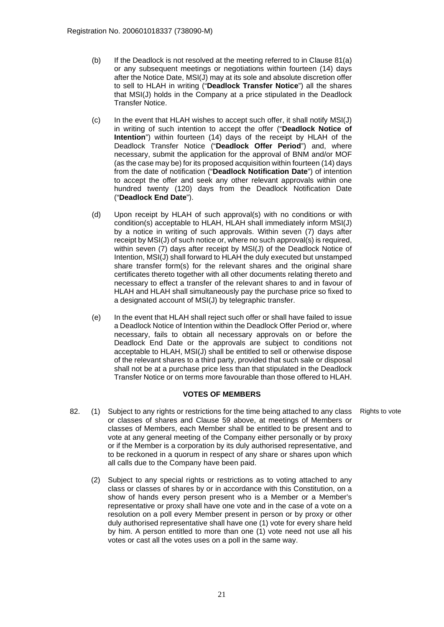- (b) If the Deadlock is not resolved at the meeting referred to in Clause 81(a) or any subsequent meetings or negotiations within fourteen (14) days after the Notice Date, MSI(J) may at its sole and absolute discretion offer to sell to HLAH in writing ("**Deadlock Transfer Notice**") all the shares that MSI(J) holds in the Company at a price stipulated in the Deadlock Transfer Notice.
- (c) In the event that HLAH wishes to accept such offer, it shall notify MSI(J) in writing of such intention to accept the offer ("**Deadlock Notice of Intention**") within fourteen (14) days of the receipt by HLAH of the Deadlock Transfer Notice ("**Deadlock Offer Period**") and, where necessary, submit the application for the approval of BNM and/or MOF (as the case may be) for its proposed acquisition within fourteen (14) days from the date of notification ("**Deadlock Notification Date**") of intention to accept the offer and seek any other relevant approvals within one hundred twenty (120) days from the Deadlock Notification Date ("**Deadlock End Date**").
- (d) Upon receipt by HLAH of such approval(s) with no conditions or with condition(s) acceptable to HLAH, HLAH shall immediately inform MSI(J) by a notice in writing of such approvals. Within seven (7) days after receipt by MSI(J) of such notice or, where no such approval(s) is required, within seven (7) days after receipt by MSI(J) of the Deadlock Notice of Intention, MSI(J) shall forward to HLAH the duly executed but unstamped share transfer form(s) for the relevant shares and the original share certificates thereto together with all other documents relating thereto and necessary to effect a transfer of the relevant shares to and in favour of HLAH and HLAH shall simultaneously pay the purchase price so fixed to a designated account of MSI(J) by telegraphic transfer.
- (e) In the event that HLAH shall reject such offer or shall have failed to issue a Deadlock Notice of Intention within the Deadlock Offer Period or, where necessary, fails to obtain all necessary approvals on or before the Deadlock End Date or the approvals are subject to conditions not acceptable to HLAH, MSI(J) shall be entitled to sell or otherwise dispose of the relevant shares to a third party, provided that such sale or disposal shall not be at a purchase price less than that stipulated in the Deadlock Transfer Notice or on terms more favourable than those offered to HLAH.

#### **VOTES OF MEMBERS**

- 82. (1) Subject to any rights or restrictions for the time being attached to any class or classes of shares and Clause 59 above, at meetings of Members or classes of Members, each Member shall be entitled to be present and to vote at any general meeting of the Company either personally or by proxy or if the Member is a corporation by its duly authorised representative, and to be reckoned in a quorum in respect of any share or shares upon which all calls due to the Company have been paid. Rights to vote
	- (2) Subject to any special rights or restrictions as to voting attached to any class or classes of shares by or in accordance with this Constitution, on a show of hands every person present who is a Member or a Member's representative or proxy shall have one vote and in the case of a vote on a resolution on a poll every Member present in person or by proxy or other duly authorised representative shall have one (1) vote for every share held by him. A person entitled to more than one (1) vote need not use all his votes or cast all the votes uses on a poll in the same way.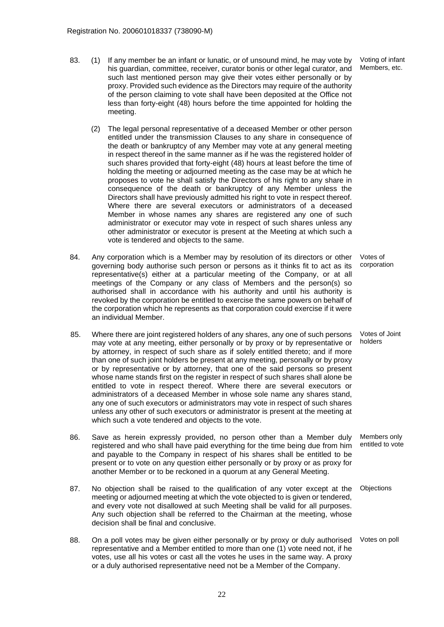- 83. (1) If any member be an infant or lunatic, or of unsound mind, he may vote by his guardian, committee, receiver, curator bonis or other legal curator, and such last mentioned person may give their votes either personally or by proxy. Provided such evidence as the Directors may require of the authority of the person claiming to vote shall have been deposited at the Office not less than forty-eight (48) hours before the time appointed for holding the meeting.
	- (2) The legal personal representative of a deceased Member or other person entitled under the transmission Clauses to any share in consequence of the death or bankruptcy of any Member may vote at any general meeting in respect thereof in the same manner as if he was the registered holder of such shares provided that forty-eight (48) hours at least before the time of holding the meeting or adjourned meeting as the case may be at which he proposes to vote he shall satisfy the Directors of his right to any share in consequence of the death or bankruptcy of any Member unless the Directors shall have previously admitted his right to vote in respect thereof. Where there are several executors or administrators of a deceased Member in whose names any shares are registered any one of such administrator or executor may vote in respect of such shares unless any other administrator or executor is present at the Meeting at which such a vote is tendered and objects to the same.
- 84. Any corporation which is a Member may by resolution of its directors or other governing body authorise such person or persons as it thinks fit to act as its representative(s) either at a particular meeting of the Company, or at all meetings of the Company or any class of Members and the person(s) so authorised shall in accordance with his authority and until his authority is revoked by the corporation be entitled to exercise the same powers on behalf of the corporation which he represents as that corporation could exercise if it were an individual Member. Votes of corporation
- 85. Where there are joint registered holders of any shares, any one of such persons may vote at any meeting, either personally or by proxy or by representative or by attorney, in respect of such share as if solely entitled thereto; and if more than one of such joint holders be present at any meeting, personally or by proxy or by representative or by attorney, that one of the said persons so present whose name stands first on the register in respect of such shares shall alone be entitled to vote in respect thereof. Where there are several executors or administrators of a deceased Member in whose sole name any shares stand, any one of such executors or administrators may vote in respect of such shares unless any other of such executors or administrator is present at the meeting at which such a vote tendered and objects to the vote. Votes of Joint holders
- 86. Save as herein expressly provided, no person other than a Member duly registered and who shall have paid everything for the time being due from him and payable to the Company in respect of his shares shall be entitled to be present or to vote on any question either personally or by proxy or as proxy for another Member or to be reckoned in a quorum at any General Meeting. Members only entitled to vote
- 87. No objection shall be raised to the qualification of any voter except at the meeting or adjourned meeting at which the vote objected to is given or tendered, and every vote not disallowed at such Meeting shall be valid for all purposes. Any such objection shall be referred to the Chairman at the meeting, whose decision shall be final and conclusive. **Objections**
- 88. On a poll votes may be given either personally or by proxy or duly authorised representative and a Member entitled to more than one (1) vote need not, if he votes, use all his votes or cast all the votes he uses in the same way. A proxy or a duly authorised representative need not be a Member of the Company. Votes on poll

Voting of infant Members, etc.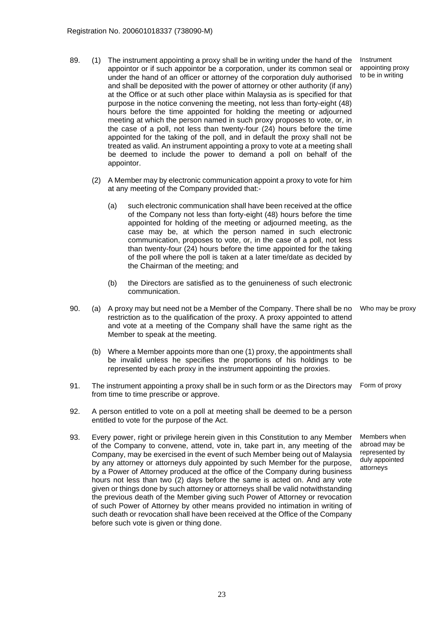- 89. (1) The instrument appointing a proxy shall be in writing under the hand of the appointor or if such appointor be a corporation, under its common seal or under the hand of an officer or attorney of the corporation duly authorised and shall be deposited with the power of attorney or other authority (if any) at the Office or at such other place within Malaysia as is specified for that purpose in the notice convening the meeting, not less than forty-eight (48) hours before the time appointed for holding the meeting or adjourned meeting at which the person named in such proxy proposes to vote, or, in the case of a poll, not less than twenty-four (24) hours before the time appointed for the taking of the poll, and in default the proxy shall not be treated as valid. An instrument appointing a proxy to vote at a meeting shall be deemed to include the power to demand a poll on behalf of the appointor.
	- (2) A Member may by electronic communication appoint a proxy to vote for him at any meeting of the Company provided that:-
		- (a) such electronic communication shall have been received at the office of the Company not less than forty-eight (48) hours before the time appointed for holding of the meeting or adjourned meeting, as the case may be, at which the person named in such electronic communication, proposes to vote, or, in the case of a poll, not less than twenty-four (24) hours before the time appointed for the taking of the poll where the poll is taken at a later time/date as decided by the Chairman of the meeting; and
		- (b) the Directors are satisfied as to the genuineness of such electronic communication.
- 90. (a) A proxy may but need not be a Member of the Company. There shall be no restriction as to the qualification of the proxy. A proxy appointed to attend and vote at a meeting of the Company shall have the same right as the Member to speak at the meeting. Who may be proxy
	- (b) Where a Member appoints more than one (1) proxy, the appointments shall be invalid unless he specifies the proportions of his holdings to be represented by each proxy in the instrument appointing the proxies.
- 91. The instrument appointing a proxy shall be in such form or as the Directors may from time to time prescribe or approve. Form of proxy
- 92. A person entitled to vote on a poll at meeting shall be deemed to be a person entitled to vote for the purpose of the Act.
- 93. Every power, right or privilege herein given in this Constitution to any Member of the Company to convene, attend, vote in, take part in, any meeting of the Company, may be exercised in the event of such Member being out of Malaysia by any attorney or attorneys duly appointed by such Member for the purpose, by a Power of Attorney produced at the office of the Company during business hours not less than two (2) days before the same is acted on. And any vote given or things done by such attorney or attorneys shall be valid notwithstanding the previous death of the Member giving such Power of Attorney or revocation of such Power of Attorney by other means provided no intimation in writing of such death or revocation shall have been received at the Office of the Company before such vote is given or thing done.

Instrument appointing proxy to be in writing

Members when abroad may be represented by duly appointed attorneys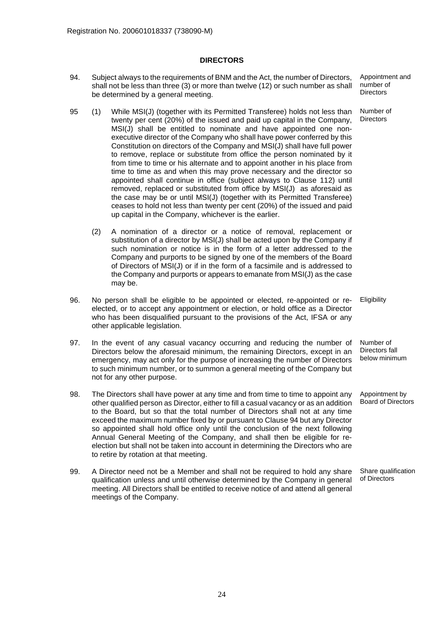#### **DIRECTORS**

- 94. Subject always to the requirements of BNM and the Act, the number of Directors, shall not be less than three (3) or more than twelve (12) or such number as shall be determined by a general meeting.
- 95 (1) While MSI(J) (together with its Permitted Transferee) holds not less than twenty per cent (20%) of the issued and paid up capital in the Company, MSI(J) shall be entitled to nominate and have appointed one nonexecutive director of the Company who shall have power conferred by this Constitution on directors of the Company and MSI(J) shall have full power to remove, replace or substitute from office the person nominated by it from time to time or his alternate and to appoint another in his place from time to time as and when this may prove necessary and the director so appointed shall continue in office (subject always to Clause 112) until removed, replaced or substituted from office by MSI(J) as aforesaid as the case may be or until MSI(J) (together with its Permitted Transferee) ceases to hold not less than twenty per cent (20%) of the issued and paid up capital in the Company, whichever is the earlier.
	- (2) A nomination of a director or a notice of removal, replacement or substitution of a director by MSI(J) shall be acted upon by the Company if such nomination or notice is in the form of a letter addressed to the Company and purports to be signed by one of the members of the Board of Directors of MSI(J) or if in the form of a facsimile and is addressed to the Company and purports or appears to emanate from MSI(J) as the case may be.
- 96. No person shall be eligible to be appointed or elected, re-appointed or reelected, or to accept any appointment or election, or hold office as a Director who has been disqualified pursuant to the provisions of the Act, IFSA or any other applicable legislation. **Eligibility**
- 97. In the event of any casual vacancy occurring and reducing the number of Directors below the aforesaid minimum, the remaining Directors, except in an emergency, may act only for the purpose of increasing the number of Directors to such minimum number, or to summon a general meeting of the Company but not for any other purpose.
- 98. The Directors shall have power at any time and from time to time to appoint any other qualified person as Director, either to fill a casual vacancy or as an addition to the Board, but so that the total number of Directors shall not at any time exceed the maximum number fixed by or pursuant to Clause 94 but any Director so appointed shall hold office only until the conclusion of the next following Annual General Meeting of the Company, and shall then be eligible for reelection but shall not be taken into account in determining the Directors who are to retire by rotation at that meeting.
- 99. A Director need not be a Member and shall not be required to hold any share qualification unless and until otherwise determined by the Company in general meeting. All Directors shall be entitled to receive notice of and attend all general meetings of the Company.

Appointment and number of **Directors** 

Number of **Directors** 

Number of Directors fall below minimum

Appointment by Board of Directors

Share qualification of Directors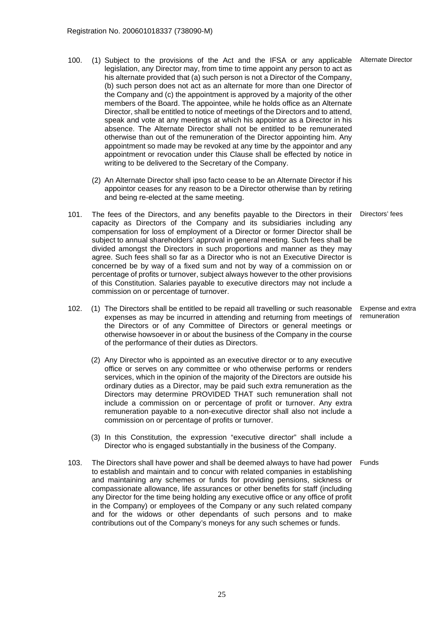- 100. (1) Subject to the provisions of the Act and the IFSA or any applicable legislation, any Director may, from time to time appoint any person to act as his alternate provided that (a) such person is not a Director of the Company, (b) such person does not act as an alternate for more than one Director of the Company and (c) the appointment is approved by a majority of the other members of the Board. The appointee, while he holds office as an Alternate Director, shall be entitled to notice of meetings of the Directors and to attend, speak and vote at any meetings at which his appointor as a Director in his absence. The Alternate Director shall not be entitled to be remunerated otherwise than out of the remuneration of the Director appointing him. Any appointment so made may be revoked at any time by the appointor and any appointment or revocation under this Clause shall be effected by notice in writing to be delivered to the Secretary of the Company. Alternate Director
	- (2) An Alternate Director shall ipso facto cease to be an Alternate Director if his appointor ceases for any reason to be a Director otherwise than by retiring and being re-elected at the same meeting.
- 101. The fees of the Directors, and any benefits payable to the Directors in their capacity as Directors of the Company and its subsidiaries including any compensation for loss of employment of a Director or former Director shall be subject to annual shareholders' approval in general meeting. Such fees shall be divided amongst the Directors in such proportions and manner as they may agree. Such fees shall so far as a Director who is not an Executive Director is concerned be by way of a fixed sum and not by way of a commission on or percentage of profits or turnover, subject always however to the other provisions of this Constitution. Salaries payable to executive directors may not include a commission on or percentage of turnover. Directors' fees
- 102. (1) The Directors shall be entitled to be repaid all travelling or such reasonable expenses as may be incurred in attending and returning from meetings of the Directors or of any Committee of Directors or general meetings or otherwise howsoever in or about the business of the Company in the course of the performance of their duties as Directors. Expense and extra remuneration
	- (2) Any Director who is appointed as an executive director or to any executive office or serves on any committee or who otherwise performs or renders services, which in the opinion of the majority of the Directors are outside his ordinary duties as a Director, may be paid such extra remuneration as the Directors may determine PROVIDED THAT such remuneration shall not include a commission on or percentage of profit or turnover. Any extra remuneration payable to a non-executive director shall also not include a commission on or percentage of profits or turnover.
	- (3) In this Constitution, the expression "executive director" shall include a Director who is engaged substantially in the business of the Company.
- 103. The Directors shall have power and shall be deemed always to have had power Fundsto establish and maintain and to concur with related companies in establishing and maintaining any schemes or funds for providing pensions, sickness or compassionate allowance, life assurances or other benefits for staff (including any Director for the time being holding any executive office or any office of profit in the Company) or employees of the Company or any such related company and for the widows or other dependants of such persons and to make contributions out of the Company's moneys for any such schemes or funds.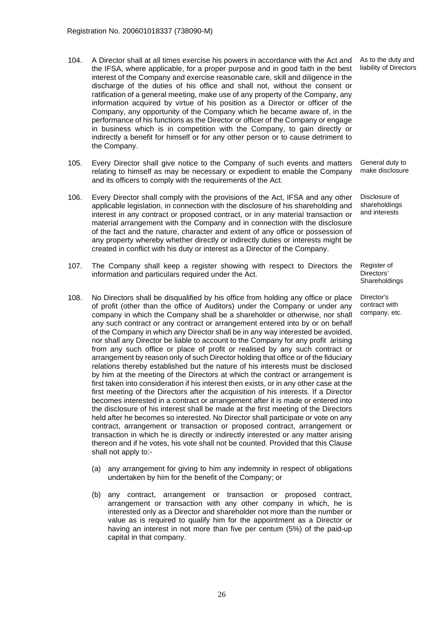- 104. A Director shall at all times exercise his powers in accordance with the Act and the IFSA, where applicable, for a proper purpose and in good faith in the best interest of the Company and exercise reasonable care, skill and diligence in the discharge of the duties of his office and shall not, without the consent or ratification of a general meeting, make use of any property of the Company, any information acquired by virtue of his position as a Director or officer of the Company, any opportunity of the Company which he became aware of, in the performance of his functions as the Director or officer of the Company or engage in business which is in competition with the Company, to gain directly or indirectly a benefit for himself or for any other person or to cause detriment to the Company.
- 105. Every Director shall give notice to the Company of such events and matters relating to himself as may be necessary or expedient to enable the Company and its officers to comply with the requirements of the Act.
- 106. Every Director shall comply with the provisions of the Act, IFSA and any other applicable legislation, in connection with the disclosure of his shareholding and interest in any contract or proposed contract, or in any material transaction or material arrangement with the Company and in connection with the disclosure of the fact and the nature, character and extent of any office or possession of any property whereby whether directly or indirectly duties or interests might be created in conflict with his duty or interest as a Director of the Company.
- 107. The Company shall keep a register showing with respect to Directors the information and particulars required under the Act.
- 108. No Directors shall be disqualified by his office from holding any office or place of profit (other than the office of Auditors) under the Company or under any company in which the Company shall be a shareholder or otherwise, nor shall any such contract or any contract or arrangement entered into by or on behalf of the Company in which any Director shall be in any way interested be avoided, nor shall any Director be liable to account to the Company for any profit arising from any such office or place of profit or realised by any such contract or arrangement by reason only of such Director holding that office or of the fiduciary relations thereby established but the nature of his interests must be disclosed by him at the meeting of the Directors at which the contract or arrangement is first taken into consideration if his interest then exists, or in any other case at the first meeting of the Directors after the acquisition of his interests. If a Director becomes interested in a contract or arrangement after it is made or entered into the disclosure of his interest shall be made at the first meeting of the Directors held after he becomes so interested. No Director shall participate or vote on any contract, arrangement or transaction or proposed contract, arrangement or transaction in which he is directly or indirectly interested or any matter arising thereon and if he votes, his vote shall not be counted. Provided that this Clause shall not apply to:-
	- (a) any arrangement for giving to him any indemnity in respect of obligations undertaken by him for the benefit of the Company; or
	- (b) any contract, arrangement or transaction or proposed contract, arrangement or transaction with any other company in which, he is interested only as a Director and shareholder not more than the number or value as is required to qualify him for the appointment as a Director or having an interest in not more than five per centum (5%) of the paid-up capital in that company.

As to the duty and liability of Directors

General duty to make disclosure

Disclosure of shareholdings and interests

Register of Directors' Shareholdings

Director's contract with company, etc.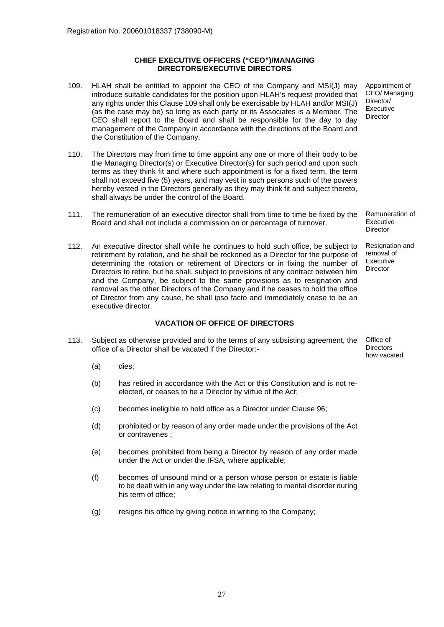## **CHIEF EXECUTIVE OFFICERS ("CEO")/MANAGING DIRECTORS/EXECUTIVE DIRECTORS**

- 109. HLAH shall be entitled to appoint the CEO of the Company and MSI(J) may introduce suitable candidates for the position upon HLAH's request provided that any rights under this Clause 109 shall only be exercisable by HLAH and/or MSI(J) (as the case may be) so long as each party or its Associates is a Member. The CEO shall report to the Board and shall be responsible for the day to day management of the Company in accordance with the directions of the Board and the Constitution of the Company.
- 110. The Directors may from time to time appoint any one or more of their body to be the Managing Director(s) or Executive Director(s) for such period and upon such terms as they think fit and where such appointment is for a fixed term, the term shall not exceed five (5) years, and may vest in such persons such of the powers hereby vested in the Directors generally as they may think fit and subject thereto, shall always be under the control of the Board.
- 111. The remuneration of an executive director shall from time to time be fixed by the Board and shall not include a commission on or percentage of turnover.
- 112. An executive director shall while he continues to hold such office, be subject to retirement by rotation, and he shall be reckoned as a Director for the purpose of determining the rotation or retirement of Directors or in fixing the number of Directors to retire, but he shall, subject to provisions of any contract between him and the Company, be subject to the same provisions as to resignation and removal as the other Directors of the Company and if he ceases to hold the office of Director from any cause, he shall ipso facto and immediately cease to be an executive director.

# **VACATION OF OFFICE OF DIRECTORS**

- 113. Subject as otherwise provided and to the terms of any subsisting agreement, the office of a Director shall be vacated if the Director:-
	- (a) dies;
	- (b) has retired in accordance with the Act or this Constitution and is not reelected, or ceases to be a Director by virtue of the Act;
	- (c) becomes ineligible to hold office as a Director under Clause 96;
	- (d) prohibited or by reason of any order made under the provisions of the Act or contravenes ;
	- (e) becomes prohibited from being a Director by reason of any order made under the Act or under the IFSA, where applicable;
	- (f) becomes of unsound mind or a person whose person or estate is liable to be dealt with in any way under the law relating to mental disorder during his term of office;
	- (g) resigns his office by giving notice in writing to the Company;

Appointment of CEO/ Managing Director/ Executive **Director** 

Remuneration of Executive **Director** 

Resignation and removal of Executive Director

Office of **Directors** how vacated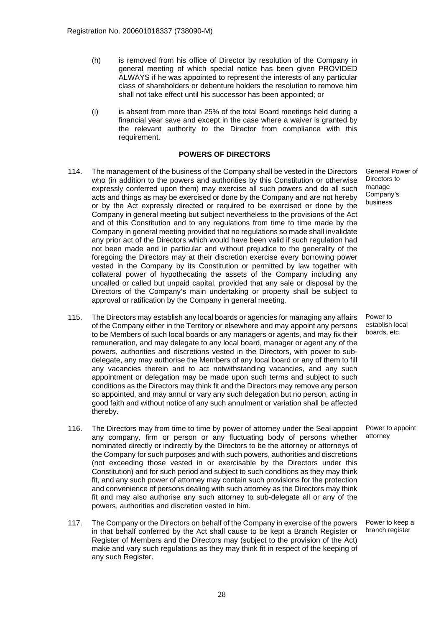- (h) is removed from his office of Director by resolution of the Company in general meeting of which special notice has been given PROVIDED ALWAYS if he was appointed to represent the interests of any particular class of shareholders or debenture holders the resolution to remove him shall not take effect until his successor has been appointed; or
- (i) is absent from more than 25% of the total Board meetings held during a financial year save and except in the case where a waiver is granted by the relevant authority to the Director from compliance with this requirement.

# **POWERS OF DIRECTORS**

- 114. The management of the business of the Company shall be vested in the Directors who (in addition to the powers and authorities by this Constitution or otherwise expressly conferred upon them) may exercise all such powers and do all such acts and things as may be exercised or done by the Company and are not hereby or by the Act expressly directed or required to be exercised or done by the Company in general meeting but subject nevertheless to the provisions of the Act and of this Constitution and to any regulations from time to time made by the Company in general meeting provided that no regulations so made shall invalidate any prior act of the Directors which would have been valid if such regulation had not been made and in particular and without prejudice to the generality of the foregoing the Directors may at their discretion exercise every borrowing power vested in the Company by its Constitution or permitted by law together with collateral power of hypothecating the assets of the Company including any uncalled or called but unpaid capital, provided that any sale or disposal by the Directors of the Company's main undertaking or property shall be subject to approval or ratification by the Company in general meeting.
- 115. The Directors may establish any local boards or agencies for managing any affairs of the Company either in the Territory or elsewhere and may appoint any persons to be Members of such local boards or any managers or agents, and may fix their remuneration, and may delegate to any local board, manager or agent any of the powers, authorities and discretions vested in the Directors, with power to subdelegate, any may authorise the Members of any local board or any of them to fill any vacancies therein and to act notwithstanding vacancies, and any such appointment or delegation may be made upon such terms and subject to such conditions as the Directors may think fit and the Directors may remove any person so appointed, and may annul or vary any such delegation but no person, acting in good faith and without notice of any such annulment or variation shall be affected thereby.
- 116. The Directors may from time to time by power of attorney under the Seal appoint any company, firm or person or any fluctuating body of persons whether nominated directly or indirectly by the Directors to be the attorney or attorneys of the Company for such purposes and with such powers, authorities and discretions (not exceeding those vested in or exercisable by the Directors under this Constitution) and for such period and subject to such conditions as they may think fit, and any such power of attorney may contain such provisions for the protection and convenience of persons dealing with such attorney as the Directors may think fit and may also authorise any such attorney to sub-delegate all or any of the powers, authorities and discretion vested in him.
- 117. The Company or the Directors on behalf of the Company in exercise of the powers in that behalf conferred by the Act shall cause to be kept a Branch Register or Register of Members and the Directors may (subject to the provision of the Act) make and vary such regulations as they may think fit in respect of the keeping of any such Register.

General Power of Directors to manage Company's business

Power to establish local boards, etc.

Power to appoint attorney

Power to keep a branch register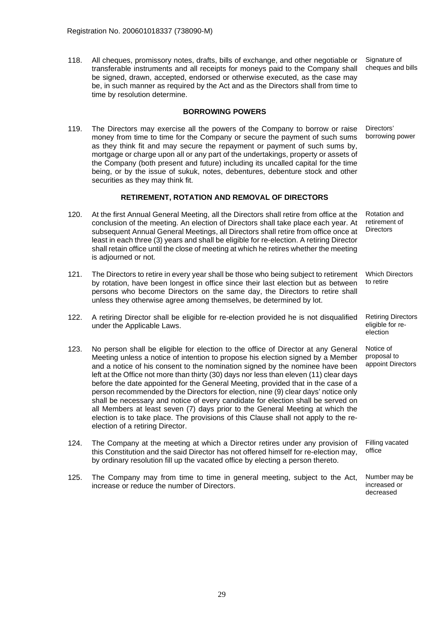118. All cheques, promissory notes, drafts, bills of exchange, and other negotiable or transferable instruments and all receipts for moneys paid to the Company shall be signed, drawn, accepted, endorsed or otherwise executed, as the case may be, in such manner as required by the Act and as the Directors shall from time to time by resolution determine. Signature of cheques and bills

#### **BORROWING POWERS**

119. The Directors may exercise all the powers of the Company to borrow or raise money from time to time for the Company or secure the payment of such sums as they think fit and may secure the repayment or payment of such sums by, mortgage or charge upon all or any part of the undertakings, property or assets of the Company (both present and future) including its uncalled capital for the time being, or by the issue of sukuk, notes, debentures, debenture stock and other securities as they may think fit. borrowing power

## **RETIREMENT, ROTATION AND REMOVAL OF DIRECTORS**

- 120. At the first Annual General Meeting, all the Directors shall retire from office at the conclusion of the meeting. An election of Directors shall take place each year. At subsequent Annual General Meetings, all Directors shall retire from office once at least in each three (3) years and shall be eligible for re-election. A retiring Director shall retain office until the close of meeting at which he retires whether the meeting is adjourned or not. Rotation and retirement of **Directors**
- 121. The Directors to retire in every year shall be those who being subject to retirement by rotation, have been longest in office since their last election but as between persons who become Directors on the same day, the Directors to retire shall unless they otherwise agree among themselves, be determined by lot. Which Directors to retire
- 122. A retiring Director shall be eligible for re-election provided he is not disqualified under the Applicable Laws. Retiring Directors eligible for reelection
- 123. No person shall be eligible for election to the office of Director at any General Meeting unless a notice of intention to propose his election signed by a Member and a notice of his consent to the nomination signed by the nominee have been left at the Office not more than thirty (30) days nor less than eleven (11) clear days before the date appointed for the General Meeting, provided that in the case of a person recommended by the Directors for election, nine (9) clear days' notice only shall be necessary and notice of every candidate for election shall be served on all Members at least seven (7) days prior to the General Meeting at which the election is to take place. The provisions of this Clause shall not apply to the reelection of a retiring Director. Notice of proposal to appoint Directors
- 124. The Company at the meeting at which a Director retires under any provision of this Constitution and the said Director has not offered himself for re-election may, by ordinary resolution fill up the vacated office by electing a person thereto. Filling vacated office
- 125. The Company may from time to time in general meeting, subject to the Act, increase or reduce the number of Directors.

29

Directors'

Number may be increased or decreased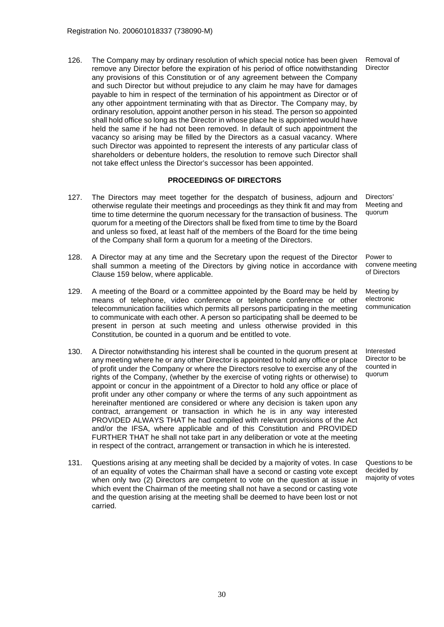126. The Company may by ordinary resolution of which special notice has been given remove any Director before the expiration of his period of office notwithstanding any provisions of this Constitution or of any agreement between the Company and such Director but without prejudice to any claim he may have for damages payable to him in respect of the termination of his appointment as Director or of any other appointment terminating with that as Director. The Company may, by ordinary resolution, appoint another person in his stead. The person so appointed shall hold office so long as the Director in whose place he is appointed would have held the same if he had not been removed. In default of such appointment the vacancy so arising may be filled by the Directors as a casual vacancy. Where such Director was appointed to represent the interests of any particular class of shareholders or debenture holders, the resolution to remove such Director shall not take effect unless the Director's successor has been appointed. Removal of **Director** 

# **PROCEEDINGS OF DIRECTORS**

- 127. The Directors may meet together for the despatch of business, adjourn and otherwise regulate their meetings and proceedings as they think fit and may from time to time determine the quorum necessary for the transaction of business. The quorum for a meeting of the Directors shall be fixed from time to time by the Board and unless so fixed, at least half of the members of the Board for the time being of the Company shall form a quorum for a meeting of the Directors.
- 128. A Director may at any time and the Secretary upon the request of the Director shall summon a meeting of the Directors by giving notice in accordance with Clause 159 below, where applicable.
- 129. A meeting of the Board or a committee appointed by the Board may be held by means of telephone, video conference or telephone conference or other telecommunication facilities which permits all persons participating in the meeting to communicate with each other. A person so participating shall be deemed to be present in person at such meeting and unless otherwise provided in this Constitution, be counted in a quorum and be entitled to vote.
- 130. A Director notwithstanding his interest shall be counted in the quorum present at any meeting where he or any other Director is appointed to hold any office or place of profit under the Company or where the Directors resolve to exercise any of the rights of the Company, (whether by the exercise of voting rights or otherwise) to appoint or concur in the appointment of a Director to hold any office or place of profit under any other company or where the terms of any such appointment as hereinafter mentioned are considered or where any decision is taken upon any contract, arrangement or transaction in which he is in any way interested PROVIDED ALWAYS THAT he had compiled with relevant provisions of the Act and/or the IFSA, where applicable and of this Constitution and PROVIDED FURTHER THAT he shall not take part in any deliberation or vote at the meeting in respect of the contract, arrangement or transaction in which he is interested.
- 131. Questions arising at any meeting shall be decided by a majority of votes. In case of an equality of votes the Chairman shall have a second or casting vote except when only two (2) Directors are competent to vote on the question at issue in which event the Chairman of the meeting shall not have a second or casting vote and the question arising at the meeting shall be deemed to have been lost or not carried.

Directors' Meeting and quorum

Power to convene meeting of Directors

Meeting by electronic communication

Interested Director to be counted in quorum

Questions to be decided by majority of votes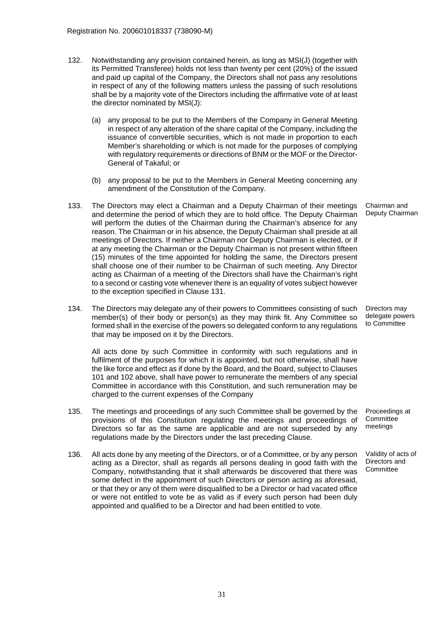- 132. Notwithstanding any provision contained herein, as long as MSI(J) (together with its Permitted Transferee) holds not less than twenty per cent (20%) of the issued and paid up capital of the Company, the Directors shall not pass any resolutions in respect of any of the following matters unless the passing of such resolutions shall be by a majority vote of the Directors including the affirmative vote of at least the director nominated by MSI(J):
	- (a) any proposal to be put to the Members of the Company in General Meeting in respect of any alteration of the share capital of the Company, including the issuance of convertible securities, which is not made in proportion to each Member's shareholding or which is not made for the purposes of complying with regulatory requirements or directions of BNM or the MOF or the Director-General of Takaful; or
	- (b) any proposal to be put to the Members in General Meeting concerning any amendment of the Constitution of the Company.
- 133. The Directors may elect a Chairman and a Deputy Chairman of their meetings and determine the period of which they are to hold office. The Deputy Chairman will perform the duties of the Chairman during the Chairman's absence for any reason. The Chairman or in his absence, the Deputy Chairman shall preside at all meetings of Directors. If neither a Chairman nor Deputy Chairman is elected, or if at any meeting the Chairman or the Deputy Chairman is not present within fifteen (15) minutes of the time appointed for holding the same, the Directors present shall choose one of their number to be Chairman of such meeting. Any Director acting as Chairman of a meeting of the Directors shall have the Chairman's right to a second or casting vote whenever there is an equality of votes subject however to the exception specified in Clause 131.
- 134. The Directors may delegate any of their powers to Committees consisting of such member(s) of their body or person(s) as they may think fit. Any Committee so formed shall in the exercise of the powers so delegated conform to any regulations that may be imposed on it by the Directors.

All acts done by such Committee in conformity with such regulations and in fulfilment of the purposes for which it is appointed, but not otherwise, shall have the like force and effect as if done by the Board, and the Board, subject to Clauses 101 and 102 above, shall have power to remunerate the members of any special Committee in accordance with this Constitution, and such remuneration may be charged to the current expenses of the Company

- 135. The meetings and proceedings of any such Committee shall be governed by the provisions of this Constitution regulating the meetings and proceedings of Directors so far as the same are applicable and are not superseded by any regulations made by the Directors under the last preceding Clause.
- 136. All acts done by any meeting of the Directors, or of a Committee, or by any person acting as a Director, shall as regards all persons dealing in good faith with the Company, notwithstanding that it shall afterwards be discovered that there was some defect in the appointment of such Directors or person acting as aforesaid, or that they or any of them were disqualified to be a Director or had vacated office or were not entitled to vote be as valid as if every such person had been duly appointed and qualified to be a Director and had been entitled to vote.

Chairman and Deputy Chairman

Directors may delegate powers to Committee

Proceedings at **Committee** meetings

Validity of acts of Directors and **Committee**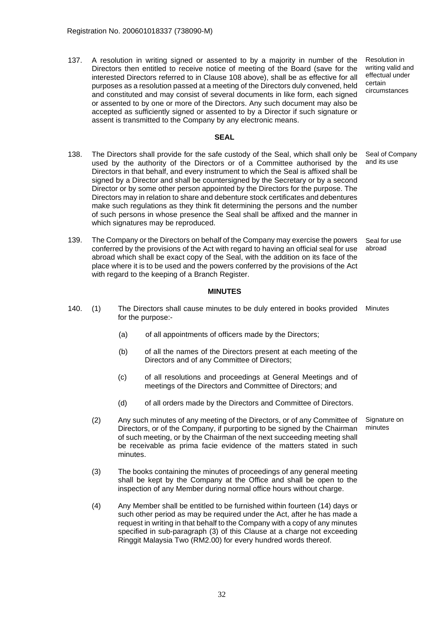137. A resolution in writing signed or assented to by a majority in number of the Directors then entitled to receive notice of meeting of the Board (save for the interested Directors referred to in Clause 108 above), shall be as effective for all purposes as a resolution passed at a meeting of the Directors duly convened, held and constituted and may consist of several documents in like form, each signed or assented to by one or more of the Directors. Any such document may also be accepted as sufficiently signed or assented to by a Director if such signature or assent is transmitted to the Company by any electronic means.

Resolution in writing valid and effectual under certain circumstances

#### **SEAL**

- 138. The Directors shall provide for the safe custody of the Seal, which shall only be used by the authority of the Directors or of a Committee authorised by the Directors in that behalf, and every instrument to which the Seal is affixed shall be signed by a Director and shall be countersigned by the Secretary or by a second Director or by some other person appointed by the Directors for the purpose. The Directors may in relation to share and debenture stock certificates and debentures make such regulations as they think fit determining the persons and the number of such persons in whose presence the Seal shall be affixed and the manner in which signatures may be reproduced. Seal of Company and its use
- 139. The Company or the Directors on behalf of the Company may exercise the powers conferred by the provisions of the Act with regard to having an official seal for use abroad which shall be exact copy of the Seal, with the addition on its face of the place where it is to be used and the powers conferred by the provisions of the Act with regard to the keeping of a Branch Register. Seal for use abroad

#### **MINUTES**

- 140. (1) The Directors shall cause minutes to be duly entered in books provided Minutes for the purpose:-
	- (a) of all appointments of officers made by the Directors;
	- (b) of all the names of the Directors present at each meeting of the Directors and of any Committee of Directors;
	- (c) of all resolutions and proceedings at General Meetings and of meetings of the Directors and Committee of Directors; and
	- (d) of all orders made by the Directors and Committee of Directors.
	- (2) Any such minutes of any meeting of the Directors, or of any Committee of Directors, or of the Company, if purporting to be signed by the Chairman of such meeting, or by the Chairman of the next succeeding meeting shall be receivable as prima facie evidence of the matters stated in such minutes. Signature on minutes
	- (3) The books containing the minutes of proceedings of any general meeting shall be kept by the Company at the Office and shall be open to the inspection of any Member during normal office hours without charge.
	- (4) Any Member shall be entitled to be furnished within fourteen (14) days or such other period as may be required under the Act, after he has made a request in writing in that behalf to the Company with a copy of any minutes specified in sub-paragraph (3) of this Clause at a charge not exceeding Ringgit Malaysia Two (RM2.00) for every hundred words thereof.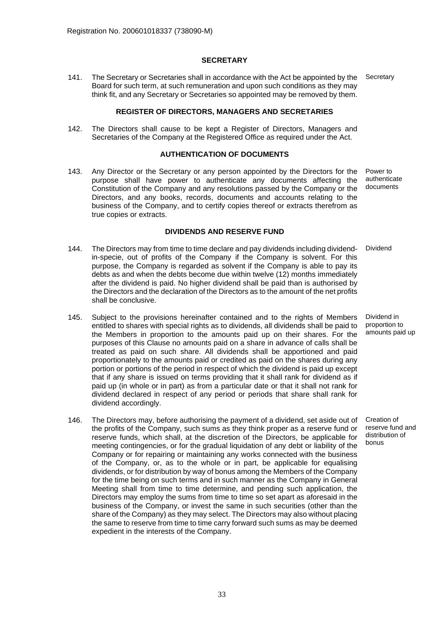## **SECRETARY**

141. The Secretary or Secretaries shall in accordance with the Act be appointed by the Board for such term, at such remuneration and upon such conditions as they may think fit, and any Secretary or Secretaries so appointed may be removed by them. **Secretary** 

## **REGISTER OF DIRECTORS, MANAGERS AND SECRETARIES**

142. The Directors shall cause to be kept a Register of Directors, Managers and Secretaries of the Company at the Registered Office as required under the Act.

## **AUTHENTICATION OF DOCUMENTS**

143. Any Director or the Secretary or any person appointed by the Directors for the purpose shall have power to authenticate any documents affecting the Constitution of the Company and any resolutions passed by the Company or the Directors, and any books, records, documents and accounts relating to the business of the Company, and to certify copies thereof or extracts therefrom as true copies or extracts.

## **DIVIDENDS AND RESERVE FUND**

- 144. The Directors may from time to time declare and pay dividends including dividendin-specie, out of profits of the Company if the Company is solvent. For this purpose, the Company is regarded as solvent if the Company is able to pay its debts as and when the debts become due within twelve (12) months immediately after the dividend is paid. No higher dividend shall be paid than is authorised by the Directors and the declaration of the Directors as to the amount of the net profits shall be conclusive. Dividend
- 145. Subject to the provisions hereinafter contained and to the rights of Members entitled to shares with special rights as to dividends, all dividends shall be paid to the Members in proportion to the amounts paid up on their shares. For the purposes of this Clause no amounts paid on a share in advance of calls shall be treated as paid on such share. All dividends shall be apportioned and paid proportionately to the amounts paid or credited as paid on the shares during any portion or portions of the period in respect of which the dividend is paid up except that if any share is issued on terms providing that it shall rank for dividend as if paid up (in whole or in part) as from a particular date or that it shall not rank for dividend declared in respect of any period or periods that share shall rank for dividend accordingly.
- 146. The Directors may, before authorising the payment of a dividend, set aside out of the profits of the Company, such sums as they think proper as a reserve fund or reserve funds, which shall, at the discretion of the Directors, be applicable for meeting contingencies, or for the gradual liquidation of any debt or liability of the Company or for repairing or maintaining any works connected with the business of the Company, or, as to the whole or in part, be applicable for equalising dividends, or for distribution by way of bonus among the Members of the Company for the time being on such terms and in such manner as the Company in General Meeting shall from time to time determine, and pending such application, the Directors may employ the sums from time to time so set apart as aforesaid in the business of the Company, or invest the same in such securities (other than the share of the Company) as they may select. The Directors may also without placing the same to reserve from time to time carry forward such sums as may be deemed expedient in the interests of the Company.

Power to authenticate documents

Dividend in proportion to amounts paid up

Creation of reserve fund and distribution of bonus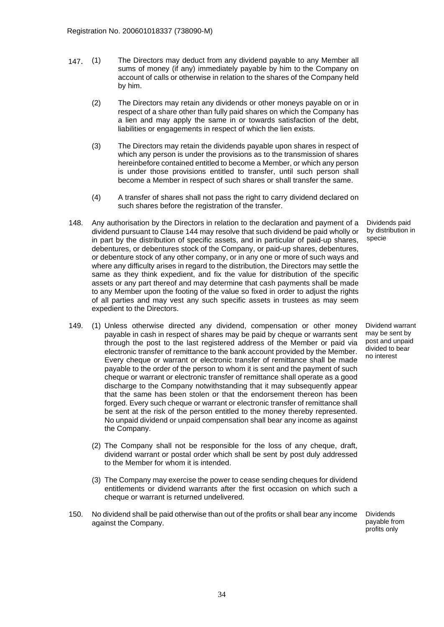- 147. (1) The Directors may deduct from any dividend payable to any Member all sums of money (if any) immediately payable by him to the Company on account of calls or otherwise in relation to the shares of the Company held by him.
	- (2) The Directors may retain any dividends or other moneys payable on or in respect of a share other than fully paid shares on which the Company has a lien and may apply the same in or towards satisfaction of the debt, liabilities or engagements in respect of which the lien exists.
	- (3) The Directors may retain the dividends payable upon shares in respect of which any person is under the provisions as to the transmission of shares hereinbefore contained entitled to become a Member, or which any person is under those provisions entitled to transfer, until such person shall become a Member in respect of such shares or shall transfer the same.
	- (4) A transfer of shares shall not pass the right to carry dividend declared on such shares before the registration of the transfer.
- 148. Any authorisation by the Directors in relation to the declaration and payment of a dividend pursuant to Clause 144 may resolve that such dividend be paid wholly or in part by the distribution of specific assets, and in particular of paid-up shares, debentures, or debentures stock of the Company, or paid-up shares, debentures, or debenture stock of any other company, or in any one or more of such ways and where any difficulty arises in regard to the distribution, the Directors may settle the same as they think expedient, and fix the value for distribution of the specific assets or any part thereof and may determine that cash payments shall be made to any Member upon the footing of the value so fixed in order to adjust the rights of all parties and may vest any such specific assets in trustees as may seem expedient to the Directors.
- 149. (1) Unless otherwise directed any dividend, compensation or other money payable in cash in respect of shares may be paid by cheque or warrants sent through the post to the last registered address of the Member or paid via electronic transfer of remittance to the bank account provided by the Member. Every cheque or warrant or electronic transfer of remittance shall be made payable to the order of the person to whom it is sent and the payment of such cheque or warrant or electronic transfer of remittance shall operate as a good discharge to the Company notwithstanding that it may subsequently appear that the same has been stolen or that the endorsement thereon has been forged. Every such cheque or warrant or electronic transfer of remittance shall be sent at the risk of the person entitled to the money thereby represented. No unpaid dividend or unpaid compensation shall bear any income as against the Company.
	- (2) The Company shall not be responsible for the loss of any cheque, draft, dividend warrant or postal order which shall be sent by post duly addressed to the Member for whom it is intended.
	- (3) The Company may exercise the power to cease sending cheques for dividend entitlements or dividend warrants after the first occasion on which such a cheque or warrant is returned undelivered.
- 150. No dividend shall be paid otherwise than out of the profits or shall bear any income against the Company.

Dividends paid by distribution in specie

Dividend warrant may be sent by post and unpaid divided to bear no interest

Dividends payable from profits only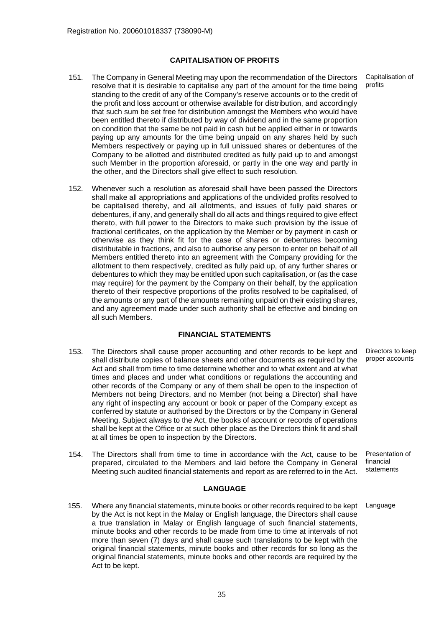#### **CAPITALISATION OF PROFITS**

- 151. The Company in General Meeting may upon the recommendation of the Directors resolve that it is desirable to capitalise any part of the amount for the time being standing to the credit of any of the Company's reserve accounts or to the credit of the profit and loss account or otherwise available for distribution, and accordingly that such sum be set free for distribution amongst the Members who would have been entitled thereto if distributed by way of dividend and in the same proportion on condition that the same be not paid in cash but be applied either in or towards paying up any amounts for the time being unpaid on any shares held by such Members respectively or paying up in full unissued shares or debentures of the Company to be allotted and distributed credited as fully paid up to and amongst such Member in the proportion aforesaid, or partly in the one way and partly in the other, and the Directors shall give effect to such resolution.
- 152. Whenever such a resolution as aforesaid shall have been passed the Directors shall make all appropriations and applications of the undivided profits resolved to be capitalised thereby, and all allotments, and issues of fully paid shares or debentures, if any, and generally shall do all acts and things required to give effect thereto, with full power to the Directors to make such provision by the issue of fractional certificates, on the application by the Member or by payment in cash or otherwise as they think fit for the case of shares or debentures becoming distributable in fractions, and also to authorise any person to enter on behalf of all Members entitled thereto into an agreement with the Company providing for the allotment to them respectively, credited as fully paid up, of any further shares or debentures to which they may be entitled upon such capitalisation, or (as the case may require) for the payment by the Company on their behalf, by the application thereto of their respective proportions of the profits resolved to be capitalised, of the amounts or any part of the amounts remaining unpaid on their existing shares, and any agreement made under such authority shall be effective and binding on all such Members.

#### **FINANCIAL STATEMENTS**

- 153. The Directors shall cause proper accounting and other records to be kept and shall distribute copies of balance sheets and other documents as required by the Act and shall from time to time determine whether and to what extent and at what times and places and under what conditions or regulations the accounting and other records of the Company or any of them shall be open to the inspection of Members not being Directors, and no Member (not being a Director) shall have any right of inspecting any account or book or paper of the Company except as conferred by statute or authorised by the Directors or by the Company in General Meeting. Subject always to the Act, the books of account or records of operations shall be kept at the Office or at such other place as the Directors think fit and shall at all times be open to inspection by the Directors.
- 154. The Directors shall from time to time in accordance with the Act, cause to be prepared, circulated to the Members and laid before the Company in General Meeting such audited financial statements and report as are referred to in the Act.

#### **LANGUAGE**

155. Where any financial statements, minute books or other records required to be kept Languageby the Act is not kept in the Malay or English language, the Directors shall cause a true translation in Malay or English language of such financial statements, minute books and other records to be made from time to time at intervals of not more than seven (7) days and shall cause such translations to be kept with the original financial statements, minute books and other records for so long as the original financial statements, minute books and other records are required by the Act to be kept.

Capitalisation of profits

Directors to keep proper accounts

Presentation of financial statements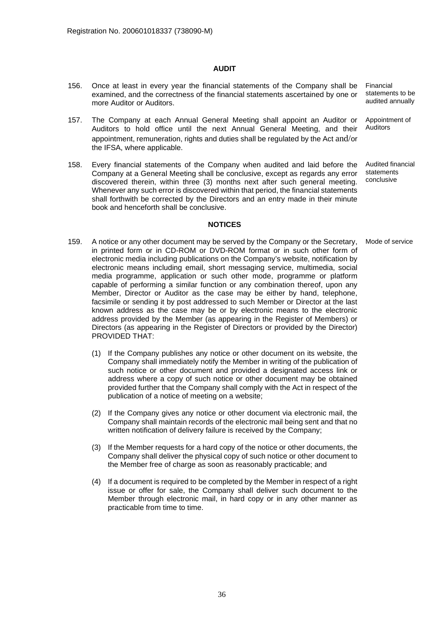#### **AUDIT**

- 156. Once at least in every year the financial statements of the Company shall be examined, and the correctness of the financial statements ascertained by one or more Auditor or Auditors. Financial
- 157. The Company at each Annual General Meeting shall appoint an Auditor or Auditors to hold office until the next Annual General Meeting, and their appointment, remuneration, rights and duties shall be regulated by the Act and/or the IFSA, where applicable.
- 158. Every financial statements of the Company when audited and laid before the Company at a General Meeting shall be conclusive, except as regards any error discovered therein, within three (3) months next after such general meeting. Whenever any such error is discovered within that period, the financial statements shall forthwith be corrected by the Directors and an entry made in their minute book and henceforth shall be conclusive.

**NOTICES**

- 159. A notice or any other document may be served by the Company or the Secretary, in printed form or in CD-ROM or DVD-ROM format or in such other form of electronic media including publications on the Company's website, notification by electronic means including email, short messaging service, multimedia, social media programme, application or such other mode, programme or platform capable of performing a similar function or any combination thereof, upon any Member, Director or Auditor as the case may be either by hand, telephone, facsimile or sending it by post addressed to such Member or Director at the last known address as the case may be or by electronic means to the electronic address provided by the Member (as appearing in the Register of Members) or Directors (as appearing in the Register of Directors or provided by the Director) PROVIDED THAT:
	- (1) If the Company publishes any notice or other document on its website, the Company shall immediately notify the Member in writing of the publication of such notice or other document and provided a designated access link or address where a copy of such notice or other document may be obtained provided further that the Company shall comply with the Act in respect of the publication of a notice of meeting on a website;
	- (2) If the Company gives any notice or other document via electronic mail, the Company shall maintain records of the electronic mail being sent and that no written notification of delivery failure is received by the Company;
	- (3) If the Member requests for a hard copy of the notice or other documents, the Company shall deliver the physical copy of such notice or other document to the Member free of charge as soon as reasonably practicable; and
	- (4) If a document is required to be completed by the Member in respect of a right issue or offer for sale, the Company shall deliver such document to the Member through electronic mail, in hard copy or in any other manner as practicable from time to time.

statements to be audited annually

Appointment of Auditors

Audited financial statements conclusive

Mode of service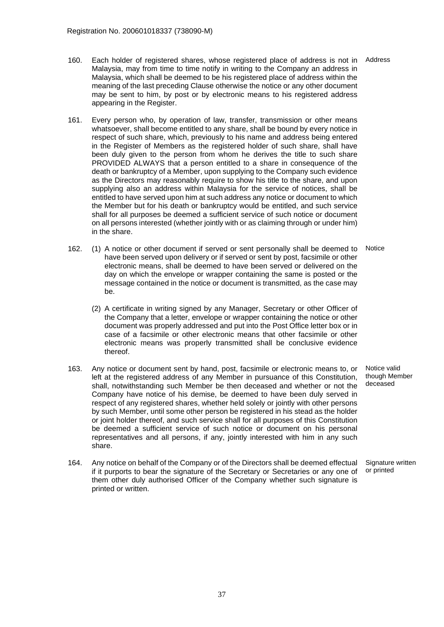- 160. Each holder of registered shares, whose registered place of address is not in Address Malaysia, may from time to time notify in writing to the Company an address in Malaysia, which shall be deemed to be his registered place of address within the meaning of the last preceding Clause otherwise the notice or any other document may be sent to him, by post or by electronic means to his registered address appearing in the Register.
- 161. Every person who, by operation of law, transfer, transmission or other means whatsoever, shall become entitled to any share, shall be bound by every notice in respect of such share, which, previously to his name and address being entered in the Register of Members as the registered holder of such share, shall have been duly given to the person from whom he derives the title to such share PROVIDED ALWAYS that a person entitled to a share in consequence of the death or bankruptcy of a Member, upon supplying to the Company such evidence as the Directors may reasonably require to show his title to the share, and upon supplying also an address within Malaysia for the service of notices, shall be entitled to have served upon him at such address any notice or document to which the Member but for his death or bankruptcy would be entitled, and such service shall for all purposes be deemed a sufficient service of such notice or document on all persons interested (whether jointly with or as claiming through or under him) in the share.
- 162. (1) A notice or other document if served or sent personally shall be deemed to have been served upon delivery or if served or sent by post, facsimile or other electronic means, shall be deemed to have been served or delivered on the day on which the envelope or wrapper containing the same is posted or the message contained in the notice or document is transmitted, as the case may be. **Notice** 
	- (2) A certificate in writing signed by any Manager, Secretary or other Officer of the Company that a letter, envelope or wrapper containing the notice or other document was properly addressed and put into the Post Office letter box or in case of a facsimile or other electronic means that other facsimile or other electronic means was properly transmitted shall be conclusive evidence thereof.
- 163. Any notice or document sent by hand, post, facsimile or electronic means to, or left at the registered address of any Member in pursuance of this Constitution, shall, notwithstanding such Member be then deceased and whether or not the Company have notice of his demise, be deemed to have been duly served in respect of any registered shares, whether held solely or jointly with other persons by such Member, until some other person be registered in his stead as the holder or joint holder thereof, and such service shall for all purposes of this Constitution be deemed a sufficient service of such notice or document on his personal representatives and all persons, if any, jointly interested with him in any such share. Notice valid though Member deceased
- 164. Any notice on behalf of the Company or of the Directors shall be deemed effectual if it purports to bear the signature of the Secretary or Secretaries or any one of them other duly authorised Officer of the Company whether such signature is printed or written. or printed

Signature written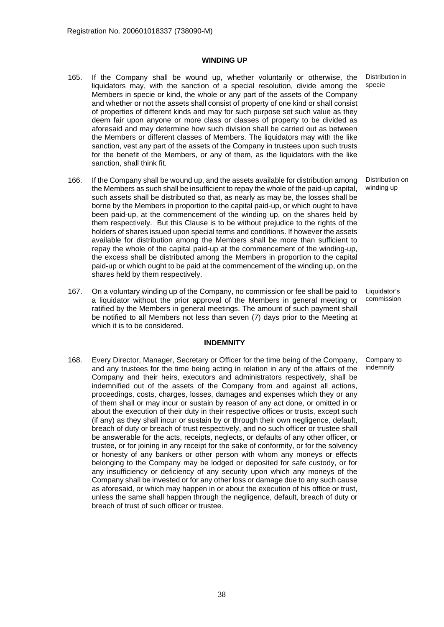#### **WINDING UP**

- 165. If the Company shall be wound up, whether voluntarily or otherwise, the liquidators may, with the sanction of a special resolution, divide among the Members in specie or kind, the whole or any part of the assets of the Company and whether or not the assets shall consist of property of one kind or shall consist of properties of different kinds and may for such purpose set such value as they deem fair upon anyone or more class or classes of property to be divided as aforesaid and may determine how such division shall be carried out as between the Members or different classes of Members. The liquidators may with the like sanction, vest any part of the assets of the Company in trustees upon such trusts for the benefit of the Members, or any of them, as the liquidators with the like sanction, shall think fit. Distribution in specie
- 166. If the Company shall be wound up, and the assets available for distribution among the Members as such shall be insufficient to repay the whole of the paid-up capital, such assets shall be distributed so that, as nearly as may be, the losses shall be borne by the Members in proportion to the capital paid-up, or which ought to have been paid-up, at the commencement of the winding up, on the shares held by them respectively. But this Clause is to be without prejudice to the rights of the holders of shares issued upon special terms and conditions. If however the assets available for distribution among the Members shall be more than sufficient to repay the whole of the capital paid-up at the commencement of the winding-up, the excess shall be distributed among the Members in proportion to the capital paid-up or which ought to be paid at the commencement of the winding up, on the shares held by them respectively. Distribution on winding up
- 167. On a voluntary winding up of the Company, no commission or fee shall be paid to a liquidator without the prior approval of the Members in general meeting or ratified by the Members in general meetings. The amount of such payment shall be notified to all Members not less than seven (7) days prior to the Meeting at which it is to be considered. Liquidator's

#### **INDEMNITY**

168. Every Director, Manager, Secretary or Officer for the time being of the Company, and any trustees for the time being acting in relation in any of the affairs of the Company and their heirs, executors and administrators respectively, shall be indemnified out of the assets of the Company from and against all actions, proceedings, costs, charges, losses, damages and expenses which they or any of them shall or may incur or sustain by reason of any act done, or omitted in or about the execution of their duty in their respective offices or trusts, except such (if any) as they shall incur or sustain by or through their own negligence, default, breach of duty or breach of trust respectively, and no such officer or trustee shall be answerable for the acts, receipts, neglects, or defaults of any other officer, or trustee, or for joining in any receipt for the sake of conformity, or for the solvency or honesty of any bankers or other person with whom any moneys or effects belonging to the Company may be lodged or deposited for safe custody, or for any insufficiency or deficiency of any security upon which any moneys of the Company shall be invested or for any other loss or damage due to any such cause as aforesaid, or which may happen in or about the execution of his office or trust, unless the same shall happen through the negligence, default, breach of duty or breach of trust of such officer or trustee.

commission

Company to indemnify